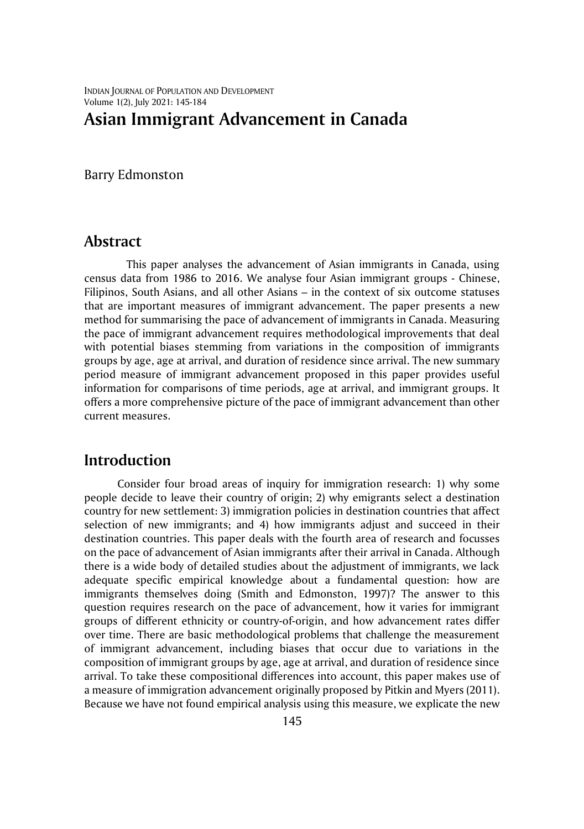INDIAN JOURNAL OF POPULATION AND DEVELOPMENT Volume 1(2), July 2021: 145-184

# **Asian Immigrant Advancement in Canada**

Barry Edmonston

## **Abstract**

This paper analyses the advancement of Asian immigrants in Canada, using census data from 1986 to 2016. We analyse four Asian immigrant groups - Chinese, Filipinos, South Asians, and all other Asians – in the context of six outcome statuses that are important measures of immigrant advancement. The paper presents a new method for summarising the pace of advancement of immigrants in Canada. Measuring the pace of immigrant advancement requires methodological improvements that deal with potential biases stemming from variations in the composition of immigrants groups by age, age at arrival, and duration of residence since arrival. The new summary period measure of immigrant advancement proposed in this paper provides useful information for comparisons of time periods, age at arrival, and immigrant groups. It offers a more comprehensive picture of the pace of immigrant advancement than other current measures.

## **Introduction**

Consider four broad areas of inquiry for immigration research: 1) why some people decide to leave their country of origin; 2) why emigrants select a destination country for new settlement: 3) immigration policies in destination countries that affect selection of new immigrants; and 4) how immigrants adjust and succeed in their destination countries. This paper deals with the fourth area of research and focusses on the pace of advancement of Asian immigrants after their arrival in Canada. Although there is a wide body of detailed studies about the adjustment of immigrants, we lack adequate specific empirical knowledge about a fundamental question: how are immigrants themselves doing (Smith and Edmonston, 1997)? The answer to this question requires research on the pace of advancement, how it varies for immigrant groups of different ethnicity or country-of-origin, and how advancement rates differ over time. There are basic methodological problems that challenge the measurement of immigrant advancement, including biases that occur due to variations in the composition of immigrant groups by age, age at arrival, and duration of residence since arrival. To take these compositional differences into account, this paper makes use of a measure of immigration advancement originally proposed by Pitkin and Myers (2011). Because we have not found empirical analysis using this measure, we explicate the new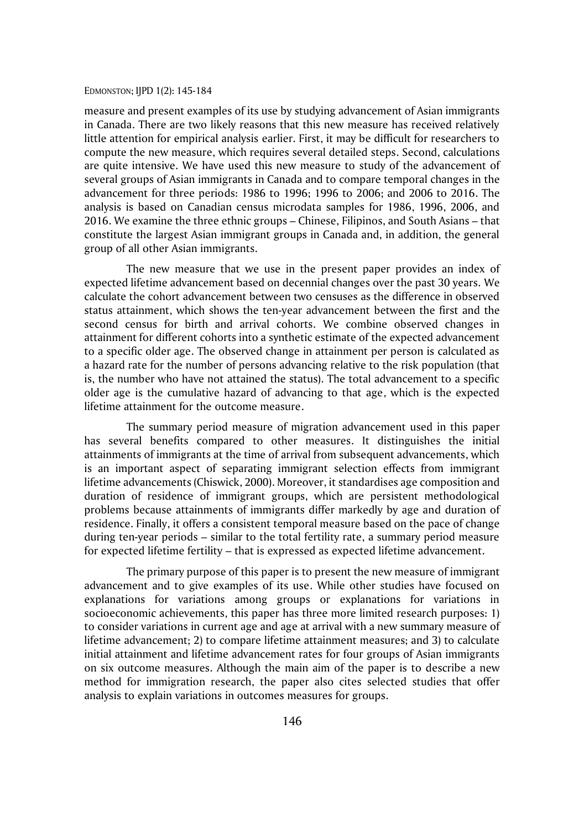measure and present examples of its use by studying advancement of Asian immigrants in Canada. There are two likely reasons that this new measure has received relatively little attention for empirical analysis earlier. First, it may be difficult for researchers to compute the new measure, which requires several detailed steps. Second, calculations are quite intensive. We have used this new measure to study of the advancement of several groups of Asian immigrants in Canada and to compare temporal changes in the advancement for three periods: 1986 to 1996; 1996 to 2006; and 2006 to 2016. The analysis is based on Canadian census microdata samples for 1986, 1996, 2006, and 2016. We examine the three ethnic groups – Chinese, Filipinos, and South Asians – that constitute the largest Asian immigrant groups in Canada and, in addition, the general group of all other Asian immigrants.

The new measure that we use in the present paper provides an index of expected lifetime advancement based on decennial changes over the past 30 years. We calculate the cohort advancement between two censuses as the difference in observed status attainment, which shows the ten-year advancement between the first and the second census for birth and arrival cohorts. We combine observed changes in attainment for different cohorts into a synthetic estimate of the expected advancement to a specific older age. The observed change in attainment per person is calculated as a hazard rate for the number of persons advancing relative to the risk population (that is, the number who have not attained the status). The total advancement to a specific older age is the cumulative hazard of advancing to that age, which is the expected lifetime attainment for the outcome measure.

The summary period measure of migration advancement used in this paper has several benefits compared to other measures. It distinguishes the initial attainments of immigrants at the time of arrival from subsequent advancements, which is an important aspect of separating immigrant selection effects from immigrant lifetime advancements (Chiswick, 2000). Moreover, it standardises age composition and duration of residence of immigrant groups, which are persistent methodological problems because attainments of immigrants differ markedly by age and duration of residence. Finally, it offers a consistent temporal measure based on the pace of change during ten-year periods – similar to the total fertility rate, a summary period measure for expected lifetime fertility – that is expressed as expected lifetime advancement.

The primary purpose of this paper is to present the new measure of immigrant advancement and to give examples of its use. While other studies have focused on explanations for variations among groups or explanations for variations in socioeconomic achievements, this paper has three more limited research purposes: 1) to consider variations in current age and age at arrival with a new summary measure of lifetime advancement; 2) to compare lifetime attainment measures; and 3) to calculate initial attainment and lifetime advancement rates for four groups of Asian immigrants on six outcome measures. Although the main aim of the paper is to describe a new method for immigration research, the paper also cites selected studies that offer analysis to explain variations in outcomes measures for groups.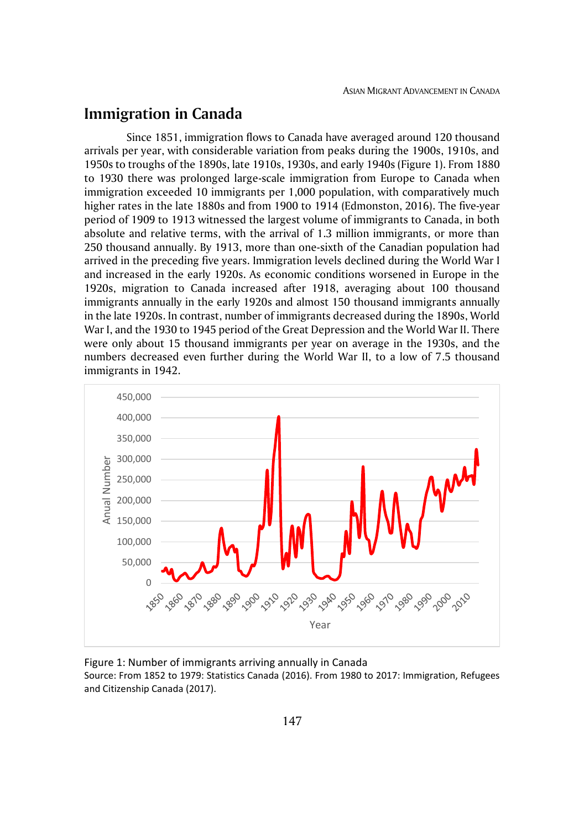# **Immigration in Canada**

Since 1851, immigration flows to Canada have averaged around 120 thousand arrivals per year, with considerable variation from peaks during the 1900s, 1910s, and 1950s to troughs of the 1890s, late 1910s, 1930s, and early 1940s (Figure 1). From 1880 to 1930 there was prolonged large-scale immigration from Europe to Canada when immigration exceeded 10 immigrants per 1,000 population, with comparatively much higher rates in the late 1880s and from 1900 to 1914 (Edmonston, 2016). The five-year period of 1909 to 1913 witnessed the largest volume of immigrants to Canada, in both absolute and relative terms, with the arrival of 1.3 million immigrants, or more than 250 thousand annually. By 1913, more than one-sixth of the Canadian population had arrived in the preceding five years. Immigration levels declined during the World War I and increased in the early 1920s. As economic conditions worsened in Europe in the 1920s, migration to Canada increased after 1918, averaging about 100 thousand immigrants annually in the early 1920s and almost 150 thousand immigrants annually in the late 1920s. In contrast, number of immigrants decreased during the 1890s, World War I, and the 1930 to 1945 period of the Great Depression and the World War II. There were only about 15 thousand immigrants per year on average in the 1930s, and the numbers decreased even further during the World War II, to a low of 7.5 thousand immigrants in 1942.



Figure 1: Number of immigrants arriving annually in Canada Source: From 1852 to 1979: Statistics Canada (2016). From 1980 to 2017: Immigration, Refugees and Citizenship Canada (2017).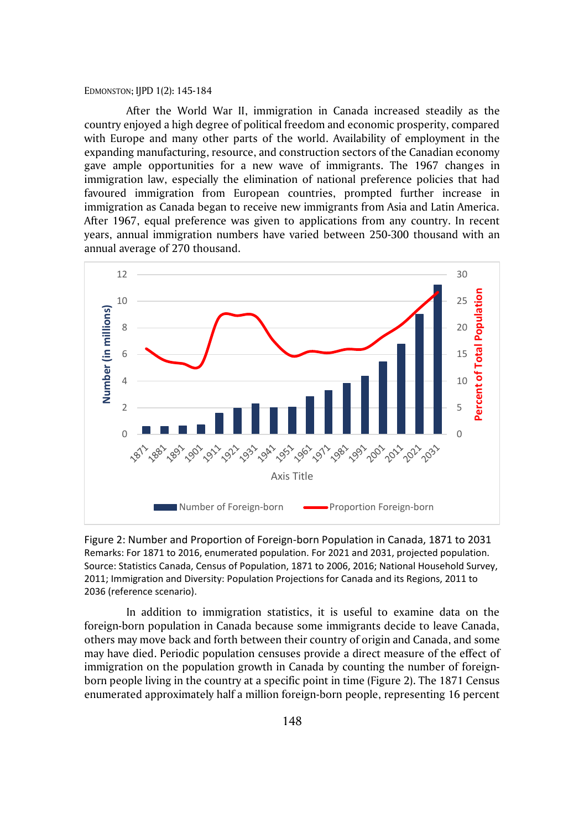After the World War II, immigration in Canada increased steadily as the country enjoyed a high degree of political freedom and economic prosperity, compared with Europe and many other parts of the world. Availability of employment in the expanding manufacturing, resource, and construction sectors of the Canadian economy gave ample opportunities for a new wave of immigrants. The 1967 changes in immigration law, especially the elimination of national preference policies that had favoured immigration from European countries, prompted further increase in immigration as Canada began to receive new immigrants from Asia and Latin America. After 1967, equal preference was given to applications from any country. In recent years, annual immigration numbers have varied between 250-300 thousand with an annual average of 270 thousand.



Figure 2: Number and Proportion of Foreign-born Population in Canada, 1871 to 2031 Remarks: For 1871 to 2016, enumerated population. For 2021 and 2031, projected population. Source: Statistics Canada, Census of Population, 1871 to 2006, 2016; National Household Survey, 2011; Immigration and Diversity: Population Projections for Canada and its Regions, 2011 to 2036 (reference scenario).

In addition to immigration statistics, it is useful to examine data on the foreign-born population in Canada because some immigrants decide to leave Canada, others may move back and forth between their country of origin and Canada, and some may have died. Periodic population censuses provide a direct measure of the effect of immigration on the population growth in Canada by counting the number of foreignborn people living in the country at a specific point in time (Figure 2). The 1871 Census enumerated approximately half a million foreign-born people, representing 16 percent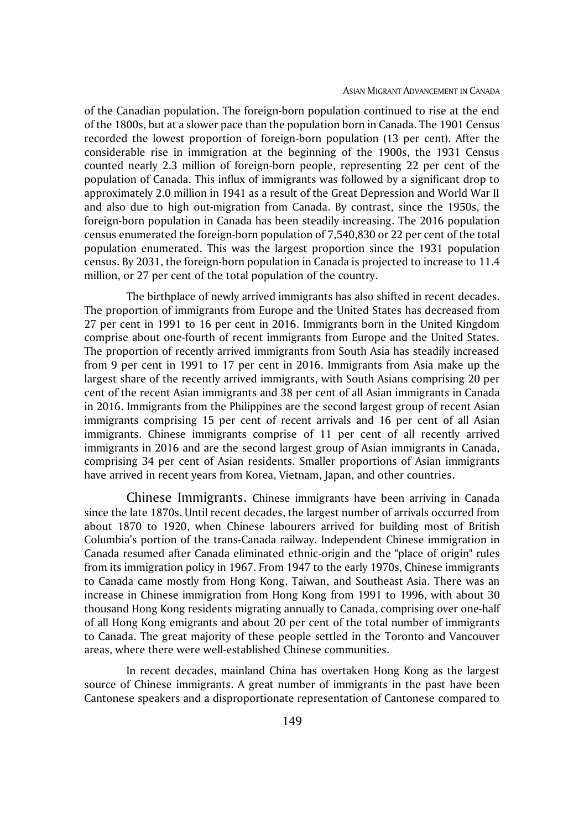#### ASIAN MIGRANT ADVANCEMENT IN CANADA

of the Canadian population. The foreign-born population continued to rise at the end of the 1800s, but at a slower pace than the population born in Canada. The 1901 Census recorded the lowest proportion of foreign-born population (13 per cent). After the considerable rise in immigration at the beginning of the 1900s, the 1931 Census counted nearly 2.3 million of foreign-born people, representing 22 per cent of the population of Canada. This influx of immigrants was followed by a significant drop to approximately 2.0 million in 1941 as a result of the Great Depression and World War II and also due to high out-migration from Canada. By contrast, since the 1950s, the foreign-born population in Canada has been steadily increasing. The 2016 population census enumerated the foreign-born population of 7,540,830 or 22 per cent of the total population enumerated. This was the largest proportion since the 1931 population census. By 2031, the foreign-born population in Canada is projected to increase to 11.4 million, or 27 per cent of the total population of the country.

The birthplace of newly arrived immigrants has also shifted in recent decades. The proportion of immigrants from Europe and the United States has decreased from 27 per cent in 1991 to 16 per cent in 2016. Immigrants born in the United Kingdom comprise about one-fourth of recent immigrants from Europe and the United States. The proportion of recently arrived immigrants from South Asia has steadily increased from 9 per cent in 1991 to 17 per cent in 2016. Immigrants from Asia make up the largest share of the recently arrived immigrants, with South Asians comprising 20 per cent of the recent Asian immigrants and 38 per cent of all Asian immigrants in Canada in 2016. Immigrants from the Philippines are the second largest group of recent Asian immigrants comprising 15 per cent of recent arrivals and 16 per cent of all Asian immigrants. Chinese immigrants comprise of 11 per cent of all recently arrived immigrants in 2016 and are the second largest group of Asian immigrants in Canada, comprising 34 per cent of Asian residents. Smaller proportions of Asian immigrants have arrived in recent years from Korea, Vietnam, Japan, and other countries.

Chinese Immigrants. Chinese immigrants have been arriving in Canada since the late 1870s. Until recent decades, the largest number of arrivals occurred from about 1870 to 1920, when Chinese labourers arrived for building most of British Columbia's portion of the trans-Canada railway. Independent Chinese immigration in Canada resumed after Canada eliminated ethnic-origin and the "place of origin" rules from its immigration policy in 1967. From 1947 to the early 1970s, Chinese immigrants to Canada came mostly from Hong Kong, Taiwan, and Southeast Asia. There was an increase in Chinese immigration from Hong Kong from 1991 to 1996, with about 30 thousand Hong Kong residents migrating annually to Canada, comprising over one-half of all Hong Kong emigrants and about 20 per cent of the total number of immigrants to Canada. The great majority of these people settled in the Toronto and Vancouver areas, where there were well-established Chinese communities.

In recent decades, mainland China has overtaken Hong Kong as the largest source of Chinese immigrants. A great number of immigrants in the past have been Cantonese speakers and a disproportionate representation of Cantonese compared to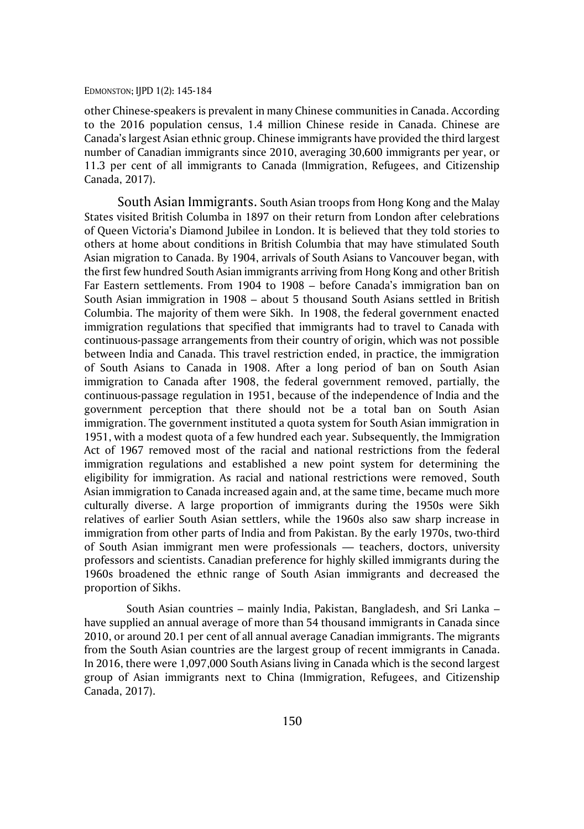other Chinese-speakers is prevalent in many Chinese communities in Canada. According to the 2016 population census, 1.4 million Chinese reside in Canada. Chinese are Canada's largest Asian ethnic group. Chinese immigrants have provided the third largest number of Canadian immigrants since 2010, averaging 30,600 immigrants per year, or 11.3 per cent of all immigrants to Canada (Immigration, Refugees, and Citizenship Canada, 2017).

South Asian Immigrants. South Asian troops from Hong Kong and the Malay States visited British Columba in 1897 on their return from London after celebrations of Queen Victoria's Diamond Jubilee in London. It is believed that they told stories to others at home about conditions in British Columbia that may have stimulated South Asian migration to Canada. By 1904, arrivals of South Asians to Vancouver began, with the first few hundred South Asian immigrants arriving from Hong Kong and other British Far Eastern settlements. From 1904 to 1908 – before Canada's immigration ban on South Asian immigration in 1908 – about 5 thousand South Asians settled in British Columbia. The majority of them were Sikh. In 1908, the federal government enacted immigration regulations that specified that immigrants had to travel to Canada with continuous-passage arrangements from their country of origin, which was not possible between India and Canada. This travel restriction ended, in practice, the immigration of South Asians to Canada in 1908. After a long period of ban on South Asian immigration to Canada after 1908, the federal government removed, partially, the continuous-passage regulation in 1951, because of the independence of India and the government perception that there should not be a total ban on South Asian immigration. The government instituted a quota system for South Asian immigration in 1951, with a modest quota of a few hundred each year. Subsequently, the Immigration Act of 1967 removed most of the racial and national restrictions from the federal immigration regulations and established a new point system for determining the eligibility for immigration. As racial and national restrictions were removed, South Asian immigration to Canada increased again and, at the same time, became much more culturally diverse. A large proportion of immigrants during the 1950s were Sikh relatives of earlier South Asian settlers, while the 1960s also saw sharp increase in immigration from other parts of India and from Pakistan. By the early 1970s, two-third of South Asian immigrant men were professionals — teachers, doctors, university professors and scientists. Canadian preference for highly skilled immigrants during the 1960s broadened the ethnic range of South Asian immigrants and decreased the proportion of Sikhs.

South Asian countries – mainly India, Pakistan, Bangladesh, and Sri Lanka – have supplied an annual average of more than 54 thousand immigrants in Canada since 2010, or around 20.1 per cent of all annual average Canadian immigrants. The migrants from the South Asian countries are the largest group of recent immigrants in Canada. In 2016, there were 1,097,000 South Asians living in Canada which is the second largest group of Asian immigrants next to China (Immigration, Refugees, and Citizenship Canada, 2017).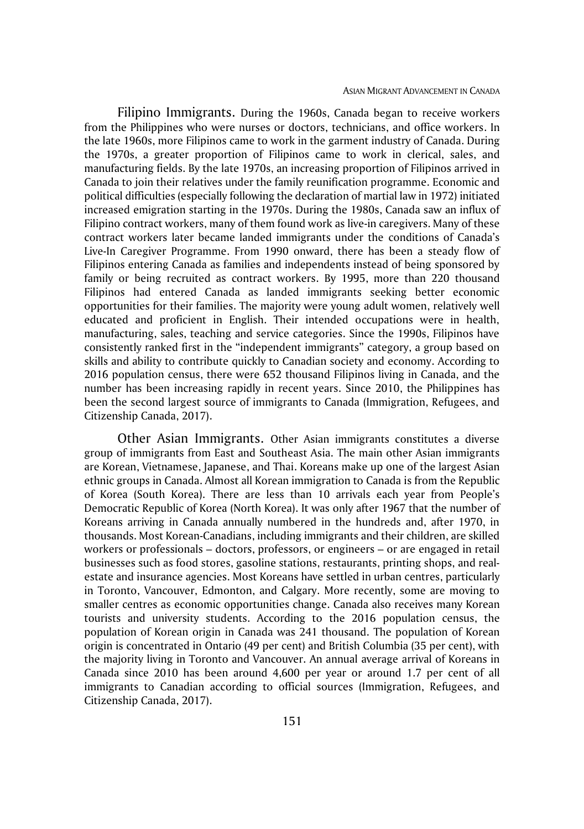Filipino Immigrants. During the 1960s, Canada began to receive workers from the Philippines who were nurses or doctors, technicians, and office workers. In the late 1960s, more Filipinos came to work in the garment industry of Canada. During the 1970s, a greater proportion of Filipinos came to work in clerical, sales, and manufacturing fields. By the late 1970s, an increasing proportion of Filipinos arrived in Canada to join their relatives under the family reunification programme. Economic and political difficulties (especially following the declaration of martial law in 1972) initiated increased emigration starting in the 1970s. During the 1980s, Canada saw an influx of Filipino contract workers, many of them found work as live-in caregivers. Many of these contract workers later became landed immigrants under the conditions of Canada's Live-In Caregiver Programme. From 1990 onward, there has been a steady flow of Filipinos entering Canada as families and independents instead of being sponsored by family or being recruited as contract workers. By 1995, more than 220 thousand Filipinos had entered Canada as landed immigrants seeking better economic opportunities for their families. The majority were young adult women, relatively well educated and proficient in English. Their intended occupations were in health, manufacturing, sales, teaching and service categories. Since the 1990s, Filipinos have consistently ranked first in the "independent immigrants" category, a group based on skills and ability to contribute quickly to Canadian society and economy. According to 2016 population census, there were 652 thousand Filipinos living in Canada, and the number has been increasing rapidly in recent years. Since 2010, the Philippines has been the second largest source of immigrants to Canada (Immigration, Refugees, and Citizenship Canada, 2017).

Other Asian Immigrants. Other Asian immigrants constitutes a diverse group of immigrants from East and Southeast Asia. The main other Asian immigrants are Korean, Vietnamese, Japanese, and Thai. Koreans make up one of the largest Asian ethnic groups in Canada. Almost all Korean immigration to Canada is from the Republic of Korea (South Korea). There are less than 10 arrivals each year from People's Democratic Republic of Korea (North Korea). It was only after 1967 that the number of Koreans arriving in Canada annually numbered in the hundreds and, after 1970, in thousands. Most Korean-Canadians, including immigrants and their children, are skilled workers or professionals – doctors, professors, or engineers – or are engaged in retail businesses such as food stores, gasoline stations, restaurants, printing shops, and realestate and insurance agencies. Most Koreans have settled in urban centres, particularly in Toronto, Vancouver, Edmonton, and Calgary. More recently, some are moving to smaller centres as economic opportunities change. Canada also receives many Korean tourists and university students. According to the 2016 population census, the population of Korean origin in Canada was 241 thousand. The population of Korean origin is concentrated in Ontario (49 per cent) and British Columbia (35 per cent), with the majority living in Toronto and Vancouver. An annual average arrival of Koreans in Canada since 2010 has been around 4,600 per year or around 1.7 per cent of all immigrants to Canadian according to official sources (Immigration, Refugees, and Citizenship Canada, 2017).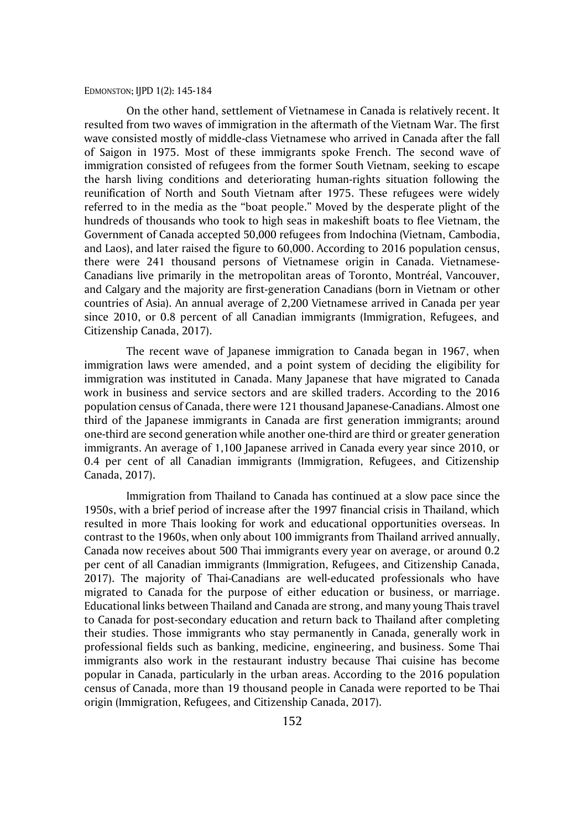On the other hand, settlement of Vietnamese in Canada is relatively recent. It resulted from two waves of immigration in the aftermath of the Vietnam War. The first wave consisted mostly of middle-class Vietnamese who arrived in Canada after the fall of Saigon in 1975. Most of these immigrants spoke French. The second wave of immigration consisted of refugees from the former South Vietnam, seeking to escape the harsh living conditions and deteriorating human-rights situation following the reunification of North and South Vietnam after 1975. These refugees were widely referred to in the media as the "boat people." Moved by the desperate plight of the hundreds of thousands who took to high seas in makeshift boats to flee Vietnam, the Government of Canada accepted 50,000 refugees from Indochina (Vietnam, Cambodia, and Laos), and later raised the figure to 60,000. According to 2016 population census, there were 241 thousand persons of Vietnamese origin in Canada. Vietnamese-Canadians live primarily in the metropolitan areas of Toronto, Montréal, Vancouver, and Calgary and the majority are first-generation Canadians (born in Vietnam or other countries of Asia). An annual average of 2,200 Vietnamese arrived in Canada per year since 2010, or 0.8 percent of all Canadian immigrants (Immigration, Refugees, and Citizenship Canada, 2017).

The recent wave of Japanese immigration to Canada began in 1967, when immigration laws were amended, and a point system of deciding the eligibility for immigration was instituted in Canada. Many Japanese that have migrated to Canada work in business and service sectors and are skilled traders. According to the 2016 population census of Canada, there were 121 thousand Japanese-Canadians. Almost one third of the Japanese immigrants in Canada are first generation immigrants; around one-third are second generation while another one-third are third or greater generation immigrants. An average of 1,100 Japanese arrived in Canada every year since 2010, or 0.4 per cent of all Canadian immigrants (Immigration, Refugees, and Citizenship Canada, 2017).

Immigration from Thailand to Canada has continued at a slow pace since the 1950s, with a brief period of increase after the 1997 financial crisis in Thailand, which resulted in more Thais looking for work and educational opportunities overseas. In contrast to the 1960s, when only about 100 immigrants from Thailand arrived annually, Canada now receives about 500 Thai immigrants every year on average, or around 0.2 per cent of all Canadian immigrants (Immigration, Refugees, and Citizenship Canada, 2017). The majority of Thai-Canadians are well-educated professionals who have migrated to Canada for the purpose of either education or business, or marriage. Educational links between Thailand and Canada are strong, and many young Thais travel to Canada for post-secondary education and return back to Thailand after completing their studies. Those immigrants who stay permanently in Canada, generally work in professional fields such as banking, medicine, engineering, and business. Some Thai immigrants also work in the restaurant industry because Thai cuisine has become popular in Canada, particularly in the urban areas. According to the 2016 population census of Canada, more than 19 thousand people in Canada were reported to be Thai origin (Immigration, Refugees, and Citizenship Canada, 2017).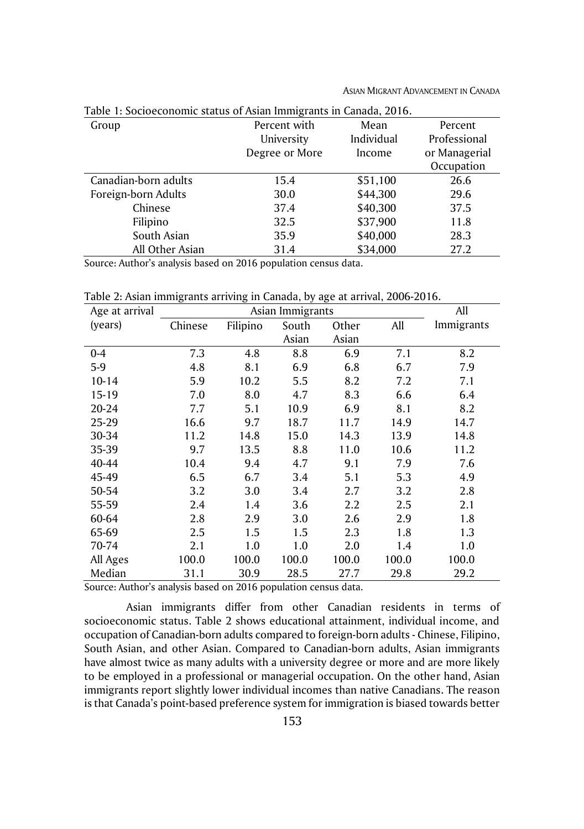| Table 1: Socioeconomic status of Asian Immigrants in Canada, 2016. |                |            |               |
|--------------------------------------------------------------------|----------------|------------|---------------|
| Group                                                              | Percent with   | Mean       | Percent       |
|                                                                    | University     | Individual | Professional  |
|                                                                    | Degree or More | Income     | or Managerial |
|                                                                    |                |            | Occupation    |
| Canadian-born adults                                               | 15.4           | \$51,100   | 26.6          |
| Foreign-born Adults                                                | 30.0           | \$44,300   | 29.6          |
| Chinese                                                            | 37.4           | \$40,300   | 37.5          |
| Filipino                                                           | 32.5           | \$37,900   | 11.8          |
| South Asian                                                        | 35.9           | \$40,000   | 28.3          |
| All Other Asian                                                    | 31.4           | \$34,000   | 27.2          |
|                                                                    |                |            |               |

ASIAN MIGRANT ADVANCEMENT IN CANADA

Source: Author's analysis based on 2016 population census data.

Table 2: Asian immigrants arriving in Canada, by age at arrival, 2006-2016.

| Age at arrival |         | All      |       |       |       |            |
|----------------|---------|----------|-------|-------|-------|------------|
| (years)        | Chinese | Filipino | South | Other | All   | Immigrants |
|                |         |          | Asian | Asian |       |            |
| $0 - 4$        | 7.3     | 4.8      | 8.8   | 6.9   | 7.1   | 8.2        |
| $5-9$          | 4.8     | 8.1      | 6.9   | 6.8   | 6.7   | 7.9        |
| $10 - 14$      | 5.9     | 10.2     | 5.5   | 8.2   | 7.2   | 7.1        |
| 15-19          | 7.0     | 8.0      | 4.7   | 8.3   | 6.6   | 6.4        |
| 20-24          | 7.7     | 5.1      | 10.9  | 6.9   | 8.1   | 8.2        |
| 25-29          | 16.6    | 9.7      | 18.7  | 11.7  | 14.9  | 14.7       |
| 30-34          | 11.2    | 14.8     | 15.0  | 14.3  | 13.9  | 14.8       |
| 35-39          | 9.7     | 13.5     | 8.8   | 11.0  | 10.6  | 11.2       |
| 40-44          | 10.4    | 9.4      | 4.7   | 9.1   | 7.9   | 7.6        |
| 45-49          | 6.5     | 6.7      | 3.4   | 5.1   | 5.3   | 4.9        |
| 50-54          | 3.2     | 3.0      | 3.4   | 2.7   | 3.2   | 2.8        |
| 55-59          | 2.4     | 1.4      | 3.6   | 2.2   | 2.5   | 2.1        |
| 60-64          | 2.8     | 2.9      | 3.0   | 2.6   | 2.9   | 1.8        |
| 65-69          | 2.5     | 1.5      | 1.5   | 2.3   | 1.8   | 1.3        |
| 70-74          | 2.1     | 1.0      | 1.0   | 2.0   | 1.4   | 1.0        |
| All Ages       | 100.0   | 100.0    | 100.0 | 100.0 | 100.0 | 100.0      |
| Median         | 31.1    | 30.9     | 28.5  | 27.7  | 29.8  | 29.2       |

Source: Author's analysis based on 2016 population census data.

Asian immigrants differ from other Canadian residents in terms of socioeconomic status. Table 2 shows educational attainment, individual income, and occupation of Canadian-born adults compared to foreign-born adults - Chinese, Filipino, South Asian, and other Asian. Compared to Canadian-born adults, Asian immigrants have almost twice as many adults with a university degree or more and are more likely to be employed in a professional or managerial occupation. On the other hand, Asian immigrants report slightly lower individual incomes than native Canadians. The reason is that Canada's point-based preference system for immigration is biased towards better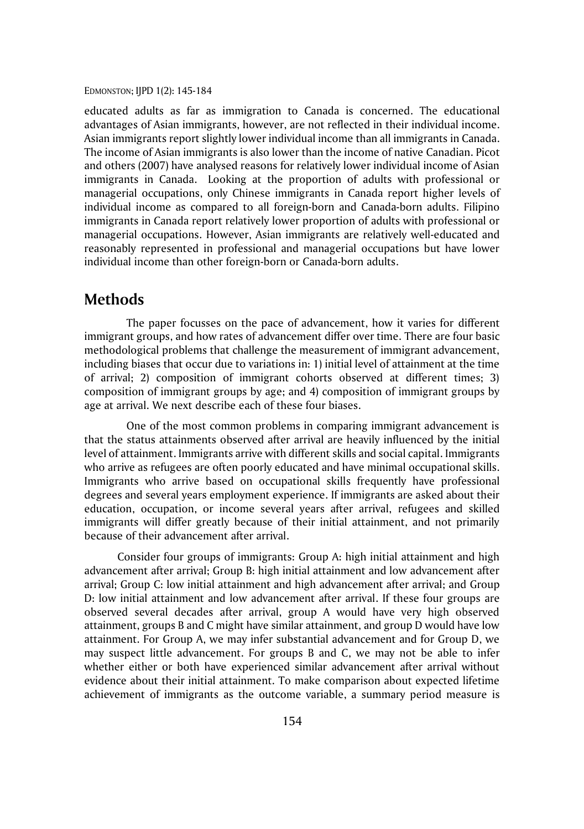educated adults as far as immigration to Canada is concerned. The educational advantages of Asian immigrants, however, are not reflected in their individual income. Asian immigrants report slightly lower individual income than all immigrants in Canada. The income of Asian immigrants is also lower than the income of native Canadian. Picot and others (2007) have analysed reasons for relatively lower individual income of Asian immigrants in Canada. Looking at the proportion of adults with professional or managerial occupations, only Chinese immigrants in Canada report higher levels of individual income as compared to all foreign-born and Canada-born adults. Filipino immigrants in Canada report relatively lower proportion of adults with professional or managerial occupations. However, Asian immigrants are relatively well-educated and reasonably represented in professional and managerial occupations but have lower individual income than other foreign-born or Canada-born adults.

## **Methods**

The paper focusses on the pace of advancement, how it varies for different immigrant groups, and how rates of advancement differ over time. There are four basic methodological problems that challenge the measurement of immigrant advancement, including biases that occur due to variations in: 1) initial level of attainment at the time of arrival; 2) composition of immigrant cohorts observed at different times; 3) composition of immigrant groups by age; and 4) composition of immigrant groups by age at arrival. We next describe each of these four biases.

One of the most common problems in comparing immigrant advancement is that the status attainments observed after arrival are heavily influenced by the initial level of attainment. Immigrants arrive with different skills and social capital. Immigrants who arrive as refugees are often poorly educated and have minimal occupational skills. Immigrants who arrive based on occupational skills frequently have professional degrees and several years employment experience. If immigrants are asked about their education, occupation, or income several years after arrival, refugees and skilled immigrants will differ greatly because of their initial attainment, and not primarily because of their advancement after arrival.

Consider four groups of immigrants: Group A: high initial attainment and high advancement after arrival; Group B: high initial attainment and low advancement after arrival; Group C: low initial attainment and high advancement after arrival; and Group D: low initial attainment and low advancement after arrival. If these four groups are observed several decades after arrival, group A would have very high observed attainment, groups B and C might have similar attainment, and group D would have low attainment. For Group A, we may infer substantial advancement and for Group D, we may suspect little advancement. For groups B and C, we may not be able to infer whether either or both have experienced similar advancement after arrival without evidence about their initial attainment. To make comparison about expected lifetime achievement of immigrants as the outcome variable, a summary period measure is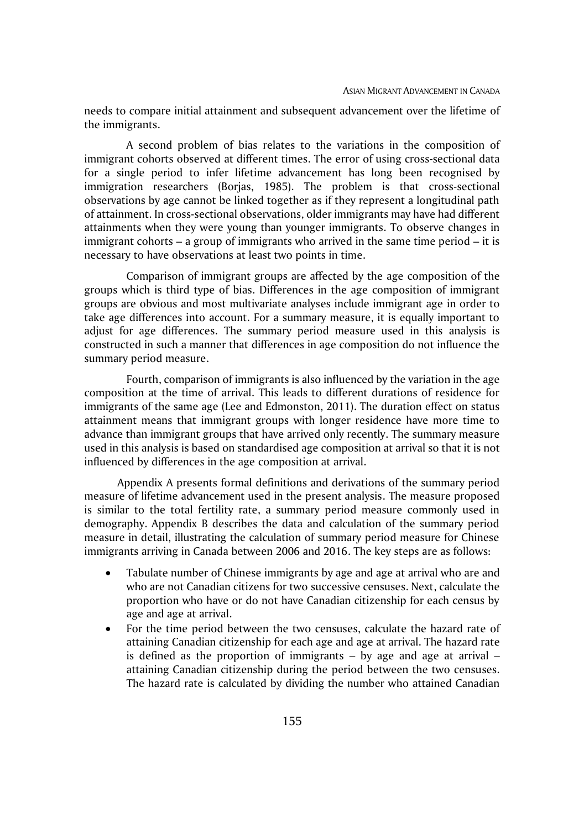needs to compare initial attainment and subsequent advancement over the lifetime of the immigrants.

A second problem of bias relates to the variations in the composition of immigrant cohorts observed at different times. The error of using cross-sectional data for a single period to infer lifetime advancement has long been recognised by immigration researchers (Borjas, 1985). The problem is that cross-sectional observations by age cannot be linked together as if they represent a longitudinal path of attainment. In cross-sectional observations, older immigrants may have had different attainments when they were young than younger immigrants. To observe changes in immigrant cohorts – a group of immigrants who arrived in the same time period – it is necessary to have observations at least two points in time.

Comparison of immigrant groups are affected by the age composition of the groups which is third type of bias. Differences in the age composition of immigrant groups are obvious and most multivariate analyses include immigrant age in order to take age differences into account. For a summary measure, it is equally important to adjust for age differences. The summary period measure used in this analysis is constructed in such a manner that differences in age composition do not influence the summary period measure.

Fourth, comparison of immigrants is also influenced by the variation in the age composition at the time of arrival. This leads to different durations of residence for immigrants of the same age (Lee and Edmonston, 2011). The duration effect on status attainment means that immigrant groups with longer residence have more time to advance than immigrant groups that have arrived only recently. The summary measure used in this analysis is based on standardised age composition at arrival so that it is not influenced by differences in the age composition at arrival.

Appendix A presents formal definitions and derivations of the summary period measure of lifetime advancement used in the present analysis. The measure proposed is similar to the total fertility rate, a summary period measure commonly used in demography. Appendix B describes the data and calculation of the summary period measure in detail, illustrating the calculation of summary period measure for Chinese immigrants arriving in Canada between 2006 and 2016. The key steps are as follows:

- Tabulate number of Chinese immigrants by age and age at arrival who are and who are not Canadian citizens for two successive censuses. Next, calculate the proportion who have or do not have Canadian citizenship for each census by age and age at arrival.
- For the time period between the two censuses, calculate the hazard rate of attaining Canadian citizenship for each age and age at arrival. The hazard rate is defined as the proportion of immigrants  $-$  by age and age at arrival  $$ attaining Canadian citizenship during the period between the two censuses. The hazard rate is calculated by dividing the number who attained Canadian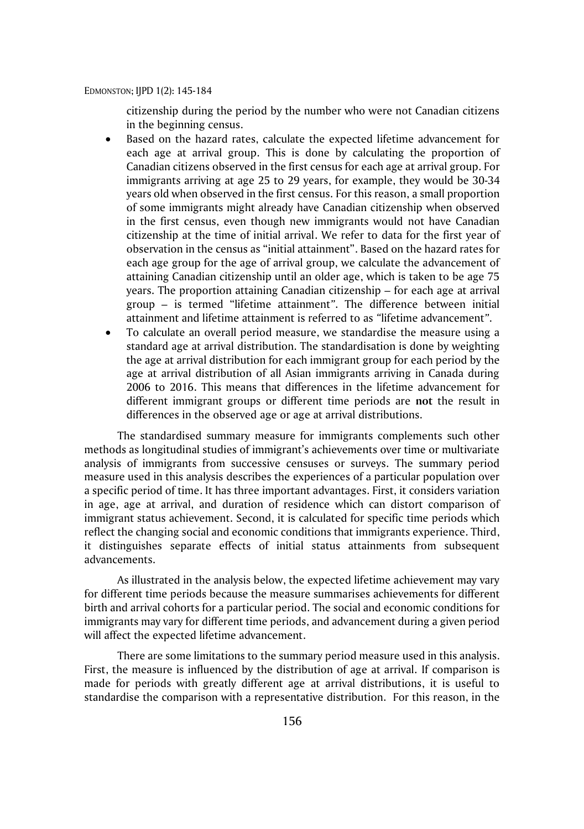citizenship during the period by the number who were not Canadian citizens in the beginning census.

- Based on the hazard rates, calculate the expected lifetime advancement for each age at arrival group. This is done by calculating the proportion of Canadian citizens observed in the first census for each age at arrival group. For immigrants arriving at age 25 to 29 years, for example, they would be 30-34 years old when observed in the first census. For this reason, a small proportion of some immigrants might already have Canadian citizenship when observed in the first census, even though new immigrants would not have Canadian citizenship at the time of initial arrival. We refer to data for the first year of observation in the census as "initial attainment". Based on the hazard rates for each age group for the age of arrival group, we calculate the advancement of attaining Canadian citizenship until an older age, which is taken to be age 75 years. The proportion attaining Canadian citizenship – for each age at arrival group – is termed "lifetime attainment*"*. The difference between initial attainment and lifetime attainment is referred to as *"*lifetime advancement*"*.
- To calculate an overall period measure, we standardise the measure using a standard age at arrival distribution. The standardisation is done by weighting the age at arrival distribution for each immigrant group for each period by the age at arrival distribution of all Asian immigrants arriving in Canada during 2006 to 2016. This means that differences in the lifetime advancement for different immigrant groups or different time periods are **not** the result in differences in the observed age or age at arrival distributions.

The standardised summary measure for immigrants complements such other methods as longitudinal studies of immigrant's achievements over time or multivariate analysis of immigrants from successive censuses or surveys. The summary period measure used in this analysis describes the experiences of a particular population over a specific period of time. It has three important advantages. First, it considers variation in age, age at arrival, and duration of residence which can distort comparison of immigrant status achievement. Second, it is calculated for specific time periods which reflect the changing social and economic conditions that immigrants experience. Third, it distinguishes separate effects of initial status attainments from subsequent advancements.

As illustrated in the analysis below, the expected lifetime achievement may vary for different time periods because the measure summarises achievements for different birth and arrival cohorts for a particular period. The social and economic conditions for immigrants may vary for different time periods, and advancement during a given period will affect the expected lifetime advancement.

There are some limitations to the summary period measure used in this analysis. First, the measure is influenced by the distribution of age at arrival. If comparison is made for periods with greatly different age at arrival distributions, it is useful to standardise the comparison with a representative distribution. For this reason, in the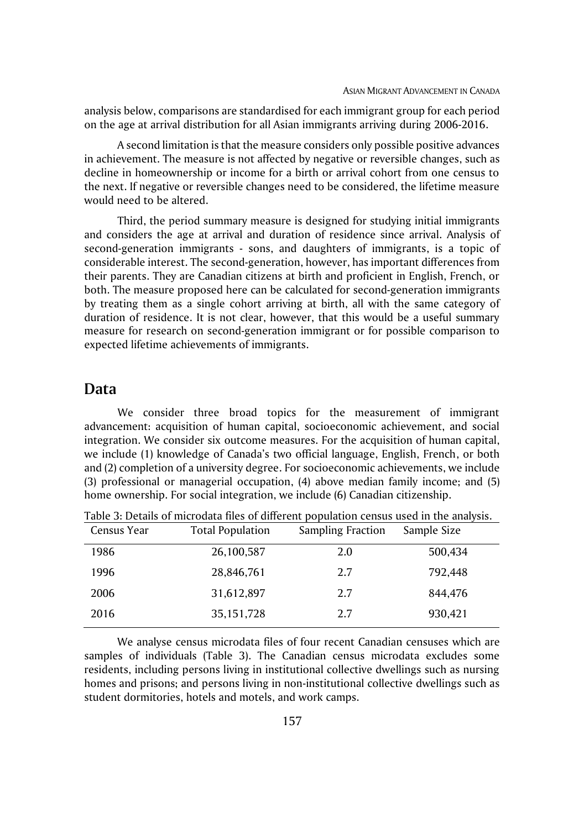analysis below, comparisons are standardised for each immigrant group for each period on the age at arrival distribution for all Asian immigrants arriving during 2006-2016.

A second limitation is that the measure considers only possible positive advances in achievement. The measure is not affected by negative or reversible changes, such as decline in homeownership or income for a birth or arrival cohort from one census to the next. If negative or reversible changes need to be considered, the lifetime measure would need to be altered.

Third, the period summary measure is designed for studying initial immigrants and considers the age at arrival and duration of residence since arrival. Analysis of second-generation immigrants - sons, and daughters of immigrants, is a topic of considerable interest. The second-generation, however, has important differences from their parents. They are Canadian citizens at birth and proficient in English, French, or both. The measure proposed here can be calculated for second-generation immigrants by treating them as a single cohort arriving at birth, all with the same category of duration of residence. It is not clear, however, that this would be a useful summary measure for research on second-generation immigrant or for possible comparison to expected lifetime achievements of immigrants.

## **Data**

We consider three broad topics for the measurement of immigrant advancement: acquisition of human capital, socioeconomic achievement, and social integration. We consider six outcome measures. For the acquisition of human capital, we include (1) knowledge of Canada's two official language, English, French, or both and (2) completion of a university degree. For socioeconomic achievements, we include (3) professional or managerial occupation, (4) above median family income; and (5) home ownership. For social integration, we include (6) Canadian citizenship.

| Census Year | <b>Total Population</b> | <b>Sampling Fraction</b> | Sample Size |
|-------------|-------------------------|--------------------------|-------------|
| 1986        | 26,100,587              | 2.0                      | 500,434     |
| 1996        | 28,846,761              | 2.7                      | 792,448     |
| 2006        | 31,612,897              | 2.7                      | 844,476     |
| 2016        | 35, 151, 728            | 2.7                      | 930,421     |

Table 3: Details of microdata files of different population census used in the analysis.

We analyse census microdata files of four recent Canadian censuses which are samples of individuals (Table 3). The Canadian census microdata excludes some residents, including persons living in institutional collective dwellings such as nursing homes and prisons; and persons living in non-institutional collective dwellings such as student dormitories, hotels and motels, and work camps.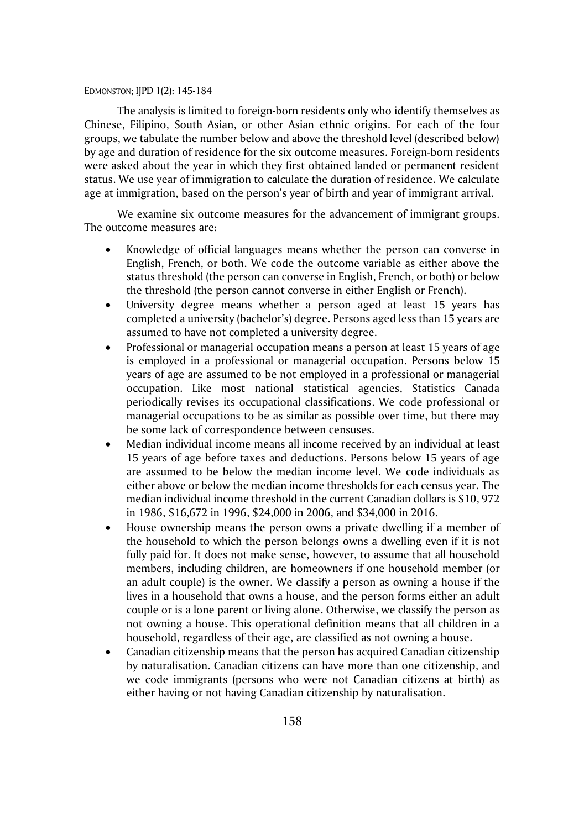The analysis is limited to foreign-born residents only who identify themselves as Chinese, Filipino, South Asian, or other Asian ethnic origins. For each of the four groups, we tabulate the number below and above the threshold level (described below) by age and duration of residence for the six outcome measures. Foreign-born residents were asked about the year in which they first obtained landed or permanent resident status. We use year of immigration to calculate the duration of residence. We calculate age at immigration, based on the person's year of birth and year of immigrant arrival.

We examine six outcome measures for the advancement of immigrant groups. The outcome measures are:

- Knowledge of official languages means whether the person can converse in English, French, or both. We code the outcome variable as either above the status threshold (the person can converse in English, French, or both) or below the threshold (the person cannot converse in either English or French).
- University degree means whether a person aged at least 15 years has completed a university (bachelor's) degree. Persons aged less than 15 years are assumed to have not completed a university degree.
- Professional or managerial occupation means a person at least 15 years of age is employed in a professional or managerial occupation. Persons below 15 years of age are assumed to be not employed in a professional or managerial occupation. Like most national statistical agencies, Statistics Canada periodically revises its occupational classifications. We code professional or managerial occupations to be as similar as possible over time, but there may be some lack of correspondence between censuses.
- Median individual income means all income received by an individual at least 15 years of age before taxes and deductions. Persons below 15 years of age are assumed to be below the median income level. We code individuals as either above or below the median income thresholds for each census year. The median individual income threshold in the current Canadian dollars is \$10, 972 in 1986, \$16,672 in 1996, \$24,000 in 2006, and \$34,000 in 2016.
- House ownership means the person owns a private dwelling if a member of the household to which the person belongs owns a dwelling even if it is not fully paid for. It does not make sense, however, to assume that all household members, including children, are homeowners if one household member (or an adult couple) is the owner. We classify a person as owning a house if the lives in a household that owns a house, and the person forms either an adult couple or is a lone parent or living alone. Otherwise, we classify the person as not owning a house. This operational definition means that all children in a household, regardless of their age, are classified as not owning a house.
- Canadian citizenship means that the person has acquired Canadian citizenship by naturalisation. Canadian citizens can have more than one citizenship, and we code immigrants (persons who were not Canadian citizens at birth) as either having or not having Canadian citizenship by naturalisation.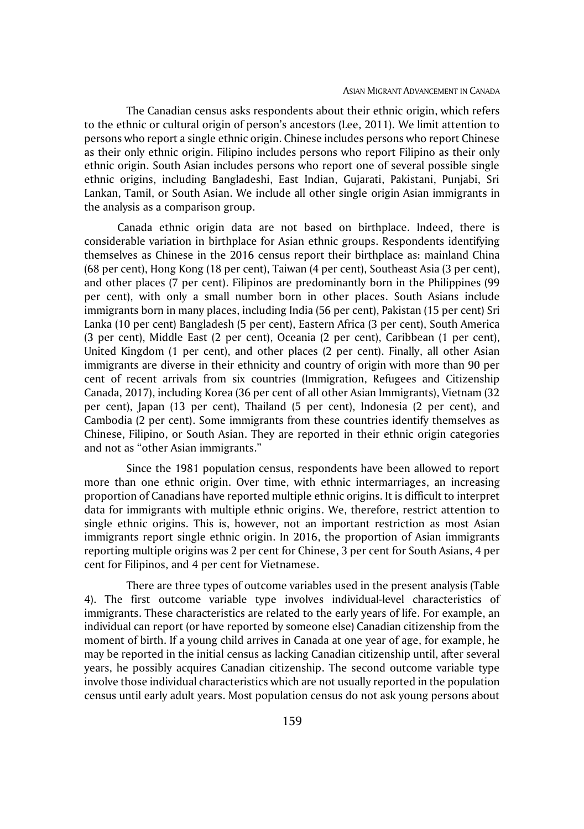The Canadian census asks respondents about their ethnic origin, which refers to the ethnic or cultural origin of person's ancestors (Lee, 2011). We limit attention to persons who report a single ethnic origin. Chinese includes persons who report Chinese as their only ethnic origin. Filipino includes persons who report Filipino as their only ethnic origin. South Asian includes persons who report one of several possible single ethnic origins, including Bangladeshi, East Indian, Gujarati, Pakistani, Punjabi, Sri Lankan, Tamil, or South Asian. We include all other single origin Asian immigrants in the analysis as a comparison group.

Canada ethnic origin data are not based on birthplace. Indeed, there is considerable variation in birthplace for Asian ethnic groups. Respondents identifying themselves as Chinese in the 2016 census report their birthplace as: mainland China (68 per cent), Hong Kong (18 per cent), Taiwan (4 per cent), Southeast Asia (3 per cent), and other places (7 per cent). Filipinos are predominantly born in the Philippines (99 per cent), with only a small number born in other places. South Asians include immigrants born in many places, including India (56 per cent), Pakistan (15 per cent) Sri Lanka (10 per cent) Bangladesh (5 per cent), Eastern Africa (3 per cent), South America (3 per cent), Middle East (2 per cent), Oceania (2 per cent), Caribbean (1 per cent), United Kingdom (1 per cent), and other places (2 per cent). Finally, all other Asian immigrants are diverse in their ethnicity and country of origin with more than 90 per cent of recent arrivals from six countries (Immigration, Refugees and Citizenship Canada, 2017), including Korea (36 per cent of all other Asian Immigrants), Vietnam (32 per cent), Japan (13 per cent), Thailand (5 per cent), Indonesia (2 per cent), and Cambodia (2 per cent). Some immigrants from these countries identify themselves as Chinese, Filipino, or South Asian. They are reported in their ethnic origin categories and not as "other Asian immigrants."

Since the 1981 population census, respondents have been allowed to report more than one ethnic origin. Over time, with ethnic intermarriages, an increasing proportion of Canadians have reported multiple ethnic origins. It is difficult to interpret data for immigrants with multiple ethnic origins. We, therefore, restrict attention to single ethnic origins. This is, however, not an important restriction as most Asian immigrants report single ethnic origin. In 2016, the proportion of Asian immigrants reporting multiple origins was 2 per cent for Chinese, 3 per cent for South Asians, 4 per cent for Filipinos, and 4 per cent for Vietnamese.

There are three types of outcome variables used in the present analysis (Table 4). The first outcome variable type involves individual-level characteristics of immigrants. These characteristics are related to the early years of life. For example, an individual can report (or have reported by someone else) Canadian citizenship from the moment of birth. If a young child arrives in Canada at one year of age, for example, he may be reported in the initial census as lacking Canadian citizenship until, after several years, he possibly acquires Canadian citizenship. The second outcome variable type involve those individual characteristics which are not usually reported in the population census until early adult years. Most population census do not ask young persons about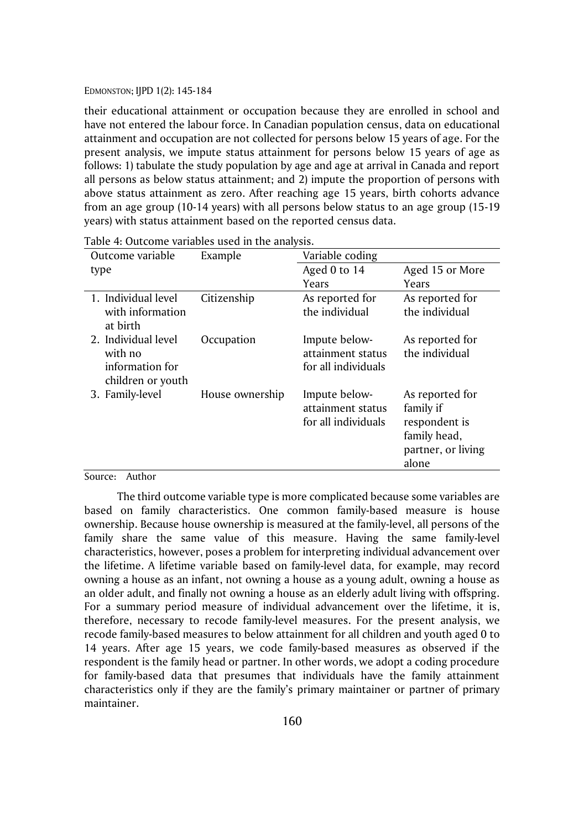their educational attainment or occupation because they are enrolled in school and have not entered the labour force. In Canadian population census, data on educational attainment and occupation are not collected for persons below 15 years of age. For the present analysis, we impute status attainment for persons below 15 years of age as follows: 1) tabulate the study population by age and age at arrival in Canada and report all persons as below status attainment; and 2) impute the proportion of persons with above status attainment as zero. After reaching age 15 years, birth cohorts advance from an age group (10-14 years) with all persons below status to an age group (15-19 years) with status attainment based on the reported census data.

| Outcome variable             | Example         | Variable coding     |                    |
|------------------------------|-----------------|---------------------|--------------------|
| type                         |                 | Aged 0 to 14        | Aged 15 or More    |
|                              |                 | Years               | Years              |
| 1. Individual level          | Citizenship     | As reported for     | As reported for    |
| with information<br>at birth |                 | the individual      | the individual     |
| 2. Individual level          | Occupation      | Impute below-       | As reported for    |
| with no                      |                 | attainment status   | the individual     |
| information for              |                 | for all individuals |                    |
| children or youth            |                 |                     |                    |
| 3. Family-level              | House ownership | Impute below-       | As reported for    |
|                              |                 | attainment status   | family if          |
|                              |                 | for all individuals | respondent is      |
|                              |                 |                     | family head,       |
|                              |                 |                     | partner, or living |
|                              |                 |                     | alone              |

Table 4: Outcome variables used in the analysis.

#### Source: Author

The third outcome variable type is more complicated because some variables are based on family characteristics. One common family-based measure is house ownership. Because house ownership is measured at the family-level, all persons of the family share the same value of this measure. Having the same family-level characteristics, however, poses a problem for interpreting individual advancement over the lifetime. A lifetime variable based on family-level data, for example, may record owning a house as an infant, not owning a house as a young adult, owning a house as an older adult, and finally not owning a house as an elderly adult living with offspring. For a summary period measure of individual advancement over the lifetime, it is, therefore, necessary to recode family-level measures. For the present analysis, we recode family-based measures to below attainment for all children and youth aged 0 to 14 years. After age 15 years, we code family-based measures as observed if the respondent is the family head or partner. In other words, we adopt a coding procedure for family-based data that presumes that individuals have the family attainment characteristics only if they are the family's primary maintainer or partner of primary maintainer.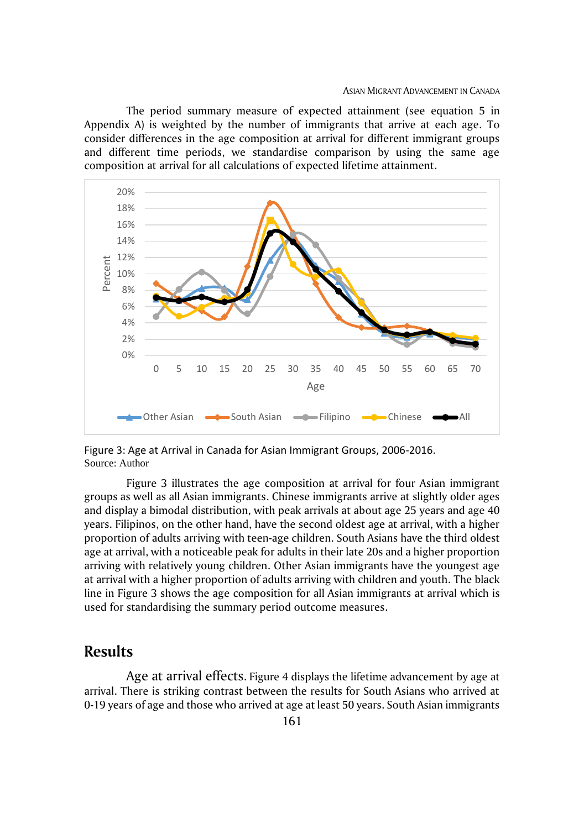The period summary measure of expected attainment (see equation 5 in Appendix A) is weighted by the number of immigrants that arrive at each age. To consider differences in the age composition at arrival for different immigrant groups and different time periods, we standardise comparison by using the same age composition at arrival for all calculations of expected lifetime attainment.



Figure 3: Age at Arrival in Canada for Asian Immigrant Groups, 2006-2016. Source: Author

Figure 3 illustrates the age composition at arrival for four Asian immigrant groups as well as all Asian immigrants. Chinese immigrants arrive at slightly older ages and display a bimodal distribution, with peak arrivals at about age 25 years and age 40 years. Filipinos, on the other hand, have the second oldest age at arrival, with a higher proportion of adults arriving with teen-age children. South Asians have the third oldest age at arrival, with a noticeable peak for adults in their late 20s and a higher proportion arriving with relatively young children. Other Asian immigrants have the youngest age at arrival with a higher proportion of adults arriving with children and youth. The black line in Figure 3 shows the age composition for all Asian immigrants at arrival which is used for standardising the summary period outcome measures.

## **Results**

Age at arrival effects. Figure 4 displays the lifetime advancement by age at arrival. There is striking contrast between the results for South Asians who arrived at 0-19 years of age and those who arrived at age at least 50 years. South Asian immigrants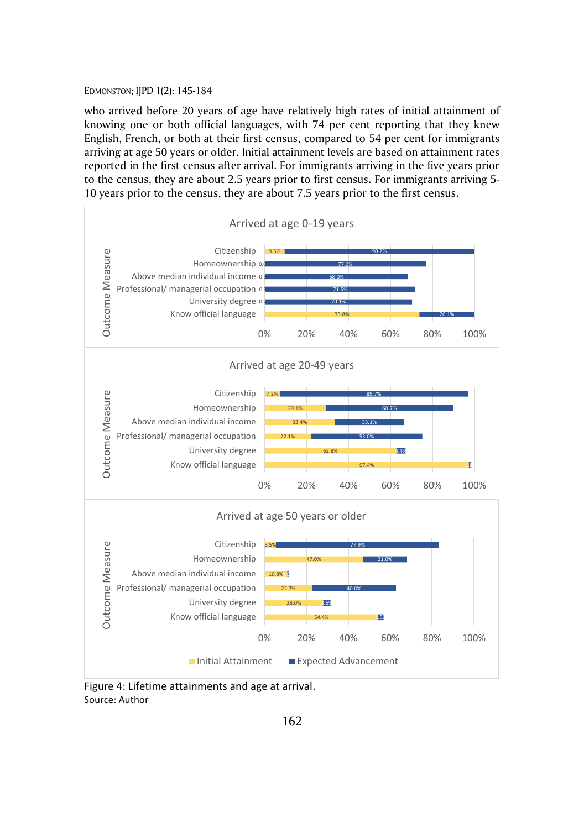who arrived before 20 years of age have relatively high rates of initial attainment of knowing one or both official languages, with 74 per cent reporting that they knew English, French, or both at their first census, compared to 54 per cent for immigrants arriving at age 50 years or older. Initial attainment levels are based on attainment rates reported in the first census after arrival. For immigrants arriving in the five years prior to the census, they are about 2.5 years prior to first census. For immigrants arriving 5- 10 years prior to the census, they are about 7.5 years prior to the first census.



Figure 4: Lifetime attainments and age at arrival. Source: Author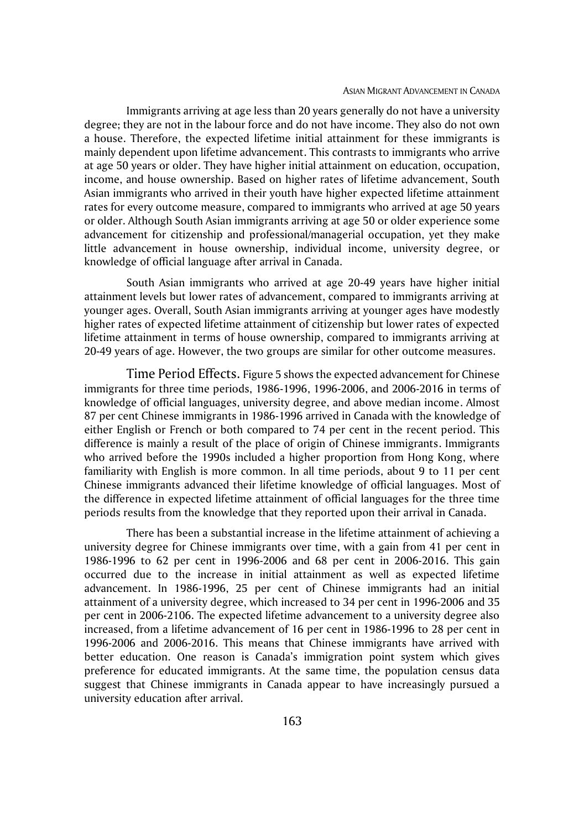#### ASIAN MIGRANT ADVANCEMENT IN CANADA

Immigrants arriving at age less than 20 years generally do not have a university degree; they are not in the labour force and do not have income. They also do not own a house. Therefore, the expected lifetime initial attainment for these immigrants is mainly dependent upon lifetime advancement. This contrasts to immigrants who arrive at age 50 years or older. They have higher initial attainment on education, occupation, income, and house ownership. Based on higher rates of lifetime advancement, South Asian immigrants who arrived in their youth have higher expected lifetime attainment rates for every outcome measure, compared to immigrants who arrived at age 50 years or older. Although South Asian immigrants arriving at age 50 or older experience some advancement for citizenship and professional/managerial occupation, yet they make little advancement in house ownership, individual income, university degree, or knowledge of official language after arrival in Canada.

South Asian immigrants who arrived at age 20-49 years have higher initial attainment levels but lower rates of advancement, compared to immigrants arriving at younger ages. Overall, South Asian immigrants arriving at younger ages have modestly higher rates of expected lifetime attainment of citizenship but lower rates of expected lifetime attainment in terms of house ownership, compared to immigrants arriving at 20-49 years of age. However, the two groups are similar for other outcome measures.

Time Period Effects. Figure 5 shows the expected advancement for Chinese immigrants for three time periods, 1986-1996, 1996-2006, and 2006-2016 in terms of knowledge of official languages, university degree, and above median income. Almost 87 per cent Chinese immigrants in 1986-1996 arrived in Canada with the knowledge of either English or French or both compared to 74 per cent in the recent period. This difference is mainly a result of the place of origin of Chinese immigrants. Immigrants who arrived before the 1990s included a higher proportion from Hong Kong, where familiarity with English is more common. In all time periods, about 9 to 11 per cent Chinese immigrants advanced their lifetime knowledge of official languages. Most of the difference in expected lifetime attainment of official languages for the three time periods results from the knowledge that they reported upon their arrival in Canada.

There has been a substantial increase in the lifetime attainment of achieving a university degree for Chinese immigrants over time, with a gain from 41 per cent in 1986-1996 to 62 per cent in 1996-2006 and 68 per cent in 2006-2016. This gain occurred due to the increase in initial attainment as well as expected lifetime advancement. In 1986-1996, 25 per cent of Chinese immigrants had an initial attainment of a university degree, which increased to 34 per cent in 1996-2006 and 35 per cent in 2006-2106. The expected lifetime advancement to a university degree also increased, from a lifetime advancement of 16 per cent in 1986-1996 to 28 per cent in 1996-2006 and 2006-2016. This means that Chinese immigrants have arrived with better education. One reason is Canada's immigration point system which gives preference for educated immigrants. At the same time, the population census data suggest that Chinese immigrants in Canada appear to have increasingly pursued a university education after arrival.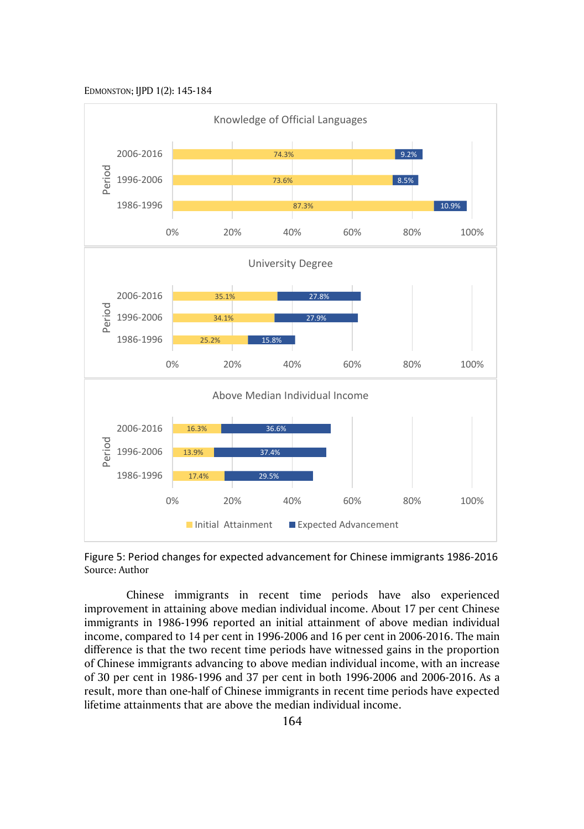

Figure 5: Period changes for expected advancement for Chinese immigrants 1986-2016 Source: Author

Chinese immigrants in recent time periods have also experienced improvement in attaining above median individual income. About 17 per cent Chinese immigrants in 1986-1996 reported an initial attainment of above median individual income, compared to 14 per cent in 1996-2006 and 16 per cent in 2006-2016. The main difference is that the two recent time periods have witnessed gains in the proportion of Chinese immigrants advancing to above median individual income, with an increase of 30 per cent in 1986-1996 and 37 per cent in both 1996-2006 and 2006-2016. As a result, more than one-half of Chinese immigrants in recent time periods have expected lifetime attainments that are above the median individual income.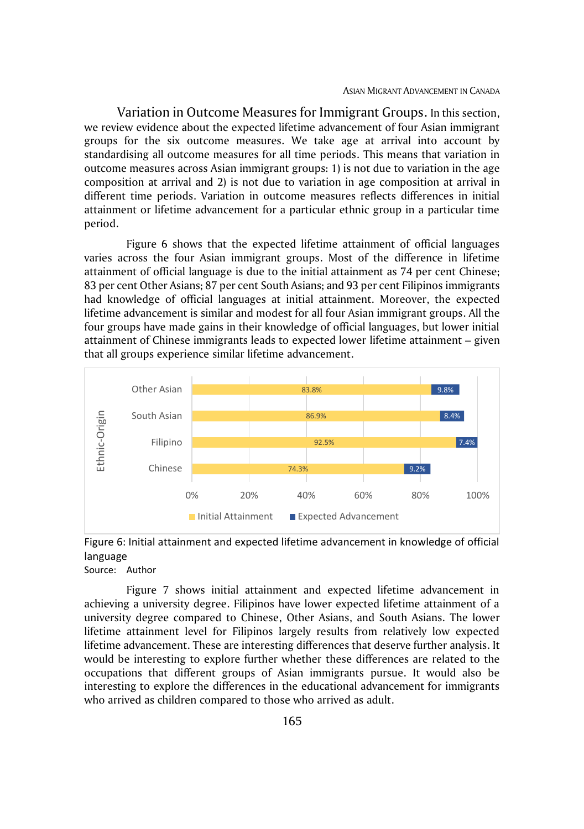Variation in Outcome Measures for Immigrant Groups. In this section, we review evidence about the expected lifetime advancement of four Asian immigrant groups for the six outcome measures. We take age at arrival into account by standardising all outcome measures for all time periods. This means that variation in outcome measures across Asian immigrant groups: 1) is not due to variation in the age composition at arrival and 2) is not due to variation in age composition at arrival in different time periods. Variation in outcome measures reflects differences in initial attainment or lifetime advancement for a particular ethnic group in a particular time period.

Figure 6 shows that the expected lifetime attainment of official languages varies across the four Asian immigrant groups. Most of the difference in lifetime attainment of official language is due to the initial attainment as 74 per cent Chinese; 83 per cent Other Asians; 87 per cent South Asians; and 93 per cent Filipinos immigrants had knowledge of official languages at initial attainment. Moreover, the expected lifetime advancement is similar and modest for all four Asian immigrant groups. All the four groups have made gains in their knowledge of official languages, but lower initial attainment of Chinese immigrants leads to expected lower lifetime attainment – given that all groups experience similar lifetime advancement.



Figure 6: Initial attainment and expected lifetime advancement in knowledge of official language

Source: Author

Figure 7 shows initial attainment and expected lifetime advancement in achieving a university degree. Filipinos have lower expected lifetime attainment of a university degree compared to Chinese, Other Asians, and South Asians. The lower lifetime attainment level for Filipinos largely results from relatively low expected lifetime advancement. These are interesting differences that deserve further analysis. It would be interesting to explore further whether these differences are related to the occupations that different groups of Asian immigrants pursue. It would also be interesting to explore the differences in the educational advancement for immigrants who arrived as children compared to those who arrived as adult.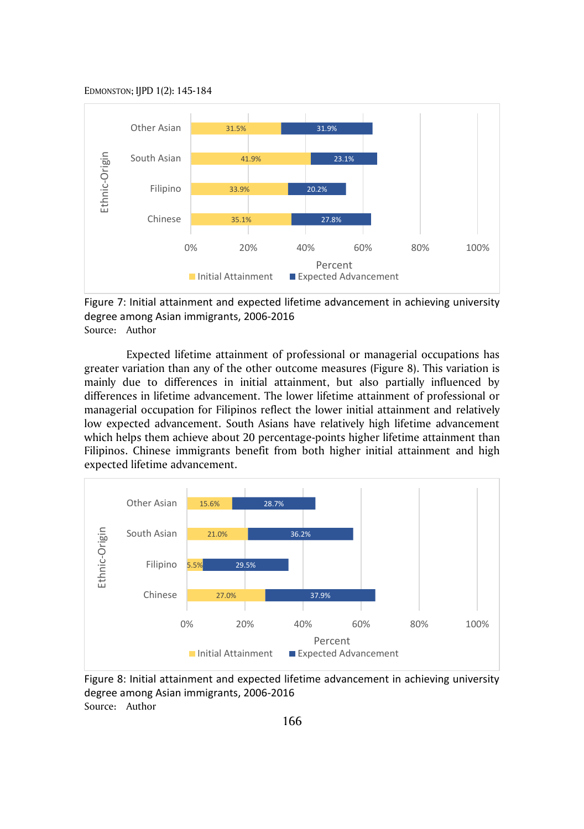

Figure 7: Initial attainment and expected lifetime advancement in achieving university degree among Asian immigrants, 2006-2016 Source: Author

Expected lifetime attainment of professional or managerial occupations has greater variation than any of the other outcome measures (Figure 8). This variation is mainly due to differences in initial attainment, but also partially influenced by differences in lifetime advancement. The lower lifetime attainment of professional or managerial occupation for Filipinos reflect the lower initial attainment and relatively low expected advancement. South Asians have relatively high lifetime advancement which helps them achieve about 20 percentage-points higher lifetime attainment than Filipinos. Chinese immigrants benefit from both higher initial attainment and high expected lifetime advancement.



Figure 8: Initial attainment and expected lifetime advancement in achieving university degree among Asian immigrants, 2006-2016 Source: Author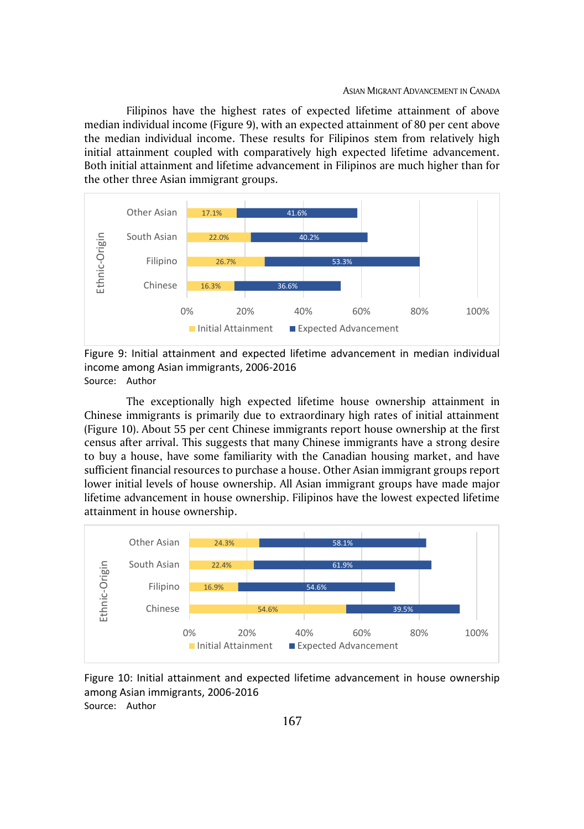Filipinos have the highest rates of expected lifetime attainment of above median individual income (Figure 9), with an expected attainment of 80 per cent above the median individual income. These results for Filipinos stem from relatively high initial attainment coupled with comparatively high expected lifetime advancement. Both initial attainment and lifetime advancement in Filipinos are much higher than for the other three Asian immigrant groups.



Figure 9: Initial attainment and expected lifetime advancement in median individual income among Asian immigrants, 2006-2016 Source: Author

The exceptionally high expected lifetime house ownership attainment in Chinese immigrants is primarily due to extraordinary high rates of initial attainment (Figure 10). About 55 per cent Chinese immigrants report house ownership at the first census after arrival. This suggests that many Chinese immigrants have a strong desire to buy a house, have some familiarity with the Canadian housing market, and have sufficient financial resources to purchase a house. Other Asian immigrant groups report lower initial levels of house ownership. All Asian immigrant groups have made major lifetime advancement in house ownership. Filipinos have the lowest expected lifetime attainment in house ownership.



Figure 10: Initial attainment and expected lifetime advancement in house ownership among Asian immigrants, 2006-2016 Source: Author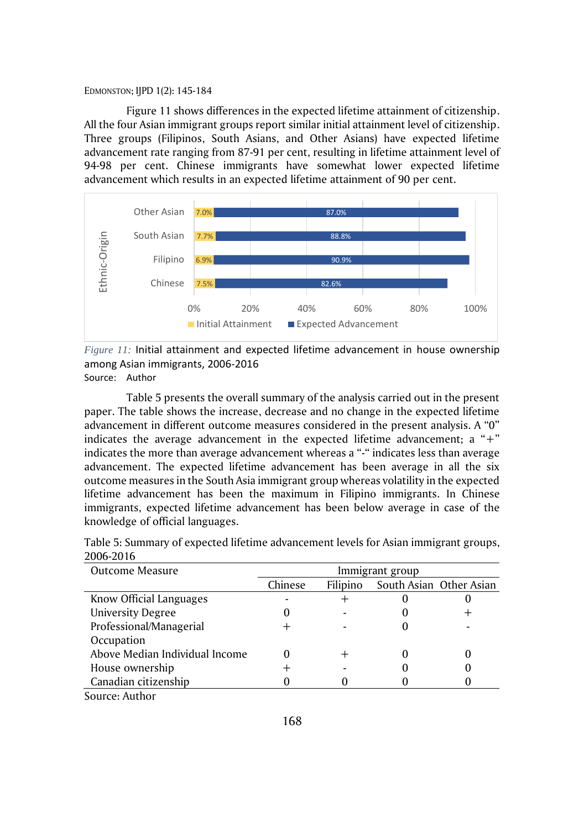Figure 11 shows differences in the expected lifetime attainment of citizenship. All the four Asian immigrant groups report similar initial attainment level of citizenship. Three groups (Filipinos, South Asians, and Other Asians) have expected lifetime advancement rate ranging from 87-91 per cent, resulting in lifetime attainment level of 94-98 per cent. Chinese immigrants have somewhat lower expected lifetime advancement which results in an expected lifetime attainment of 90 per cent.



*Figure 11:* Initial attainment and expected lifetime advancement in house ownership among Asian immigrants, 2006-2016 Source: Author

Table 5 presents the overall summary of the analysis carried out in the present paper. The table shows the increase, decrease and no change in the expected lifetime advancement in different outcome measures considered in the present analysis. A "0" indicates the average advancement in the expected lifetime advancement; a "+" indicates the more than average advancement whereas a "-" indicates less than average advancement. The expected lifetime advancement has been average in all the six outcome measures in the South Asia immigrant group whereas volatility in the expected lifetime advancement has been the maximum in Filipino immigrants. In Chinese immigrants, expected lifetime advancement has been below average in case of the knowledge of official languages.

| Outcome Measure                |         |          | Immigrant group |                         |
|--------------------------------|---------|----------|-----------------|-------------------------|
|                                | Chinese | Filipino |                 | South Asian Other Asian |
| Know Official Languages        |         |          |                 |                         |
| <b>University Degree</b>       |         |          |                 |                         |
| Professional/Managerial        |         |          |                 |                         |
| Occupation                     |         |          |                 |                         |
| Above Median Individual Income | 0       |          |                 |                         |
| House ownership                |         |          |                 |                         |
| Canadian citizenship           |         |          |                 |                         |

| Table 5: Summary of expected lifetime advancement levels for Asian immigrant groups, |  |
|--------------------------------------------------------------------------------------|--|
| 2006-2016                                                                            |  |

Source: Author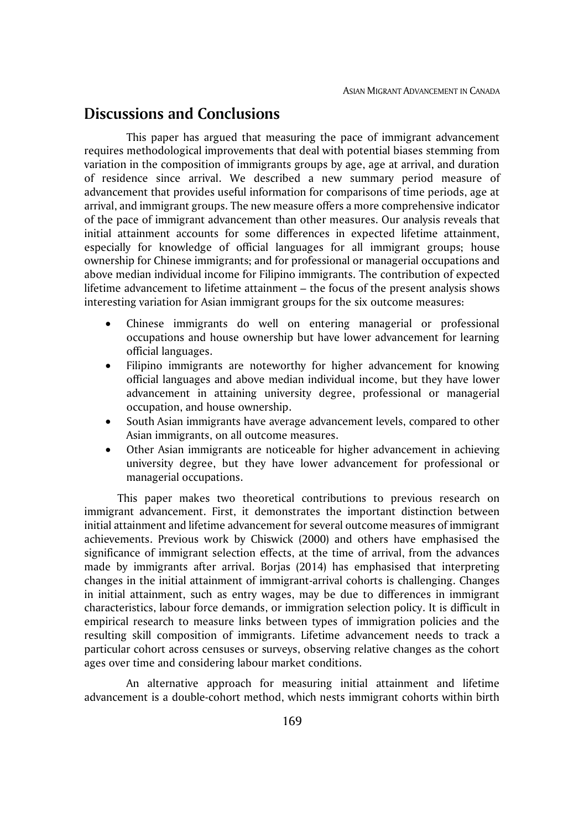# **Discussions and Conclusions**

This paper has argued that measuring the pace of immigrant advancement requires methodological improvements that deal with potential biases stemming from variation in the composition of immigrants groups by age, age at arrival, and duration of residence since arrival. We described a new summary period measure of advancement that provides useful information for comparisons of time periods, age at arrival, and immigrant groups. The new measure offers a more comprehensive indicator of the pace of immigrant advancement than other measures. Our analysis reveals that initial attainment accounts for some differences in expected lifetime attainment, especially for knowledge of official languages for all immigrant groups; house ownership for Chinese immigrants; and for professional or managerial occupations and above median individual income for Filipino immigrants. The contribution of expected lifetime advancement to lifetime attainment – the focus of the present analysis shows interesting variation for Asian immigrant groups for the six outcome measures:

- Chinese immigrants do well on entering managerial or professional occupations and house ownership but have lower advancement for learning official languages.
- Filipino immigrants are noteworthy for higher advancement for knowing official languages and above median individual income, but they have lower advancement in attaining university degree, professional or managerial occupation, and house ownership.
- South Asian immigrants have average advancement levels, compared to other Asian immigrants, on all outcome measures.
- Other Asian immigrants are noticeable for higher advancement in achieving university degree, but they have lower advancement for professional or managerial occupations.

This paper makes two theoretical contributions to previous research on immigrant advancement. First, it demonstrates the important distinction between initial attainment and lifetime advancement for several outcome measures of immigrant achievements. Previous work by Chiswick (2000) and others have emphasised the significance of immigrant selection effects, at the time of arrival, from the advances made by immigrants after arrival. Borjas (2014) has emphasised that interpreting changes in the initial attainment of immigrant-arrival cohorts is challenging. Changes in initial attainment, such as entry wages, may be due to differences in immigrant characteristics, labour force demands, or immigration selection policy. It is difficult in empirical research to measure links between types of immigration policies and the resulting skill composition of immigrants. Lifetime advancement needs to track a particular cohort across censuses or surveys, observing relative changes as the cohort ages over time and considering labour market conditions.

An alternative approach for measuring initial attainment and lifetime advancement is a double-cohort method, which nests immigrant cohorts within birth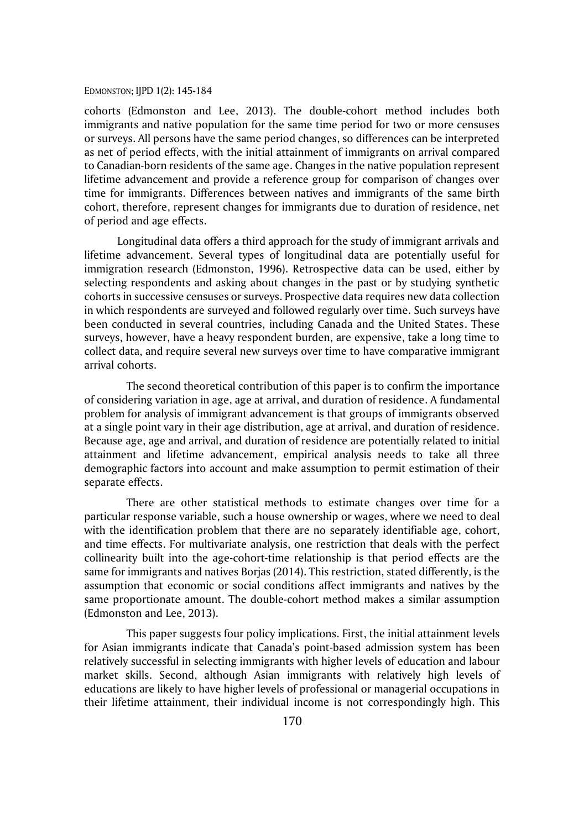cohorts (Edmonston and Lee, 2013). The double-cohort method includes both immigrants and native population for the same time period for two or more censuses or surveys. All persons have the same period changes, so differences can be interpreted as net of period effects, with the initial attainment of immigrants on arrival compared to Canadian-born residents of the same age. Changes in the native population represent lifetime advancement and provide a reference group for comparison of changes over time for immigrants. Differences between natives and immigrants of the same birth cohort, therefore, represent changes for immigrants due to duration of residence, net of period and age effects.

Longitudinal data offers a third approach for the study of immigrant arrivals and lifetime advancement. Several types of longitudinal data are potentially useful for immigration research (Edmonston, 1996). Retrospective data can be used, either by selecting respondents and asking about changes in the past or by studying synthetic cohorts in successive censuses or surveys. Prospective data requires new data collection in which respondents are surveyed and followed regularly over time. Such surveys have been conducted in several countries, including Canada and the United States. These surveys, however, have a heavy respondent burden, are expensive, take a long time to collect data, and require several new surveys over time to have comparative immigrant arrival cohorts.

The second theoretical contribution of this paper is to confirm the importance of considering variation in age, age at arrival, and duration of residence. A fundamental problem for analysis of immigrant advancement is that groups of immigrants observed at a single point vary in their age distribution, age at arrival, and duration of residence. Because age, age and arrival, and duration of residence are potentially related to initial attainment and lifetime advancement, empirical analysis needs to take all three demographic factors into account and make assumption to permit estimation of their separate effects.

There are other statistical methods to estimate changes over time for a particular response variable, such a house ownership or wages, where we need to deal with the identification problem that there are no separately identifiable age, cohort, and time effects. For multivariate analysis, one restriction that deals with the perfect collinearity built into the age-cohort-time relationship is that period effects are the same for immigrants and natives Borjas (2014). This restriction, stated differently, is the assumption that economic or social conditions affect immigrants and natives by the same proportionate amount. The double-cohort method makes a similar assumption (Edmonston and Lee, 2013).

This paper suggests four policy implications. First, the initial attainment levels for Asian immigrants indicate that Canada's point-based admission system has been relatively successful in selecting immigrants with higher levels of education and labour market skills. Second, although Asian immigrants with relatively high levels of educations are likely to have higher levels of professional or managerial occupations in their lifetime attainment, their individual income is not correspondingly high. This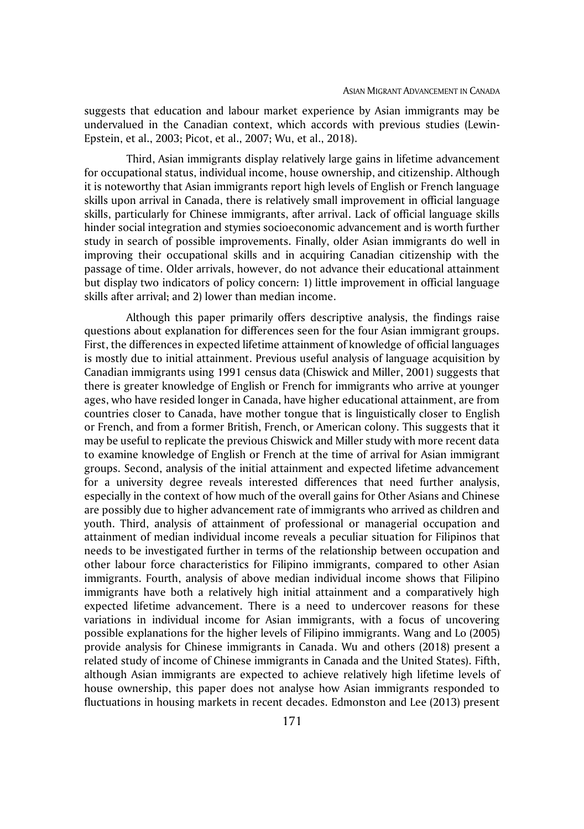suggests that education and labour market experience by Asian immigrants may be undervalued in the Canadian context, which accords with previous studies (Lewin-Epstein, et al., 2003; Picot, et al., 2007; Wu, et al., 2018).

Third, Asian immigrants display relatively large gains in lifetime advancement for occupational status, individual income, house ownership, and citizenship. Although it is noteworthy that Asian immigrants report high levels of English or French language skills upon arrival in Canada, there is relatively small improvement in official language skills, particularly for Chinese immigrants, after arrival. Lack of official language skills hinder social integration and stymies socioeconomic advancement and is worth further study in search of possible improvements. Finally, older Asian immigrants do well in improving their occupational skills and in acquiring Canadian citizenship with the passage of time. Older arrivals, however, do not advance their educational attainment but display two indicators of policy concern: 1) little improvement in official language skills after arrival; and 2) lower than median income.

Although this paper primarily offers descriptive analysis, the findings raise questions about explanation for differences seen for the four Asian immigrant groups. First, the differences in expected lifetime attainment of knowledge of official languages is mostly due to initial attainment. Previous useful analysis of language acquisition by Canadian immigrants using 1991 census data (Chiswick and Miller, 2001) suggests that there is greater knowledge of English or French for immigrants who arrive at younger ages, who have resided longer in Canada, have higher educational attainment, are from countries closer to Canada, have mother tongue that is linguistically closer to English or French, and from a former British, French, or American colony. This suggests that it may be useful to replicate the previous Chiswick and Miller study with more recent data to examine knowledge of English or French at the time of arrival for Asian immigrant groups. Second, analysis of the initial attainment and expected lifetime advancement for a university degree reveals interested differences that need further analysis, especially in the context of how much of the overall gains for Other Asians and Chinese are possibly due to higher advancement rate of immigrants who arrived as children and youth. Third, analysis of attainment of professional or managerial occupation and attainment of median individual income reveals a peculiar situation for Filipinos that needs to be investigated further in terms of the relationship between occupation and other labour force characteristics for Filipino immigrants, compared to other Asian immigrants. Fourth, analysis of above median individual income shows that Filipino immigrants have both a relatively high initial attainment and a comparatively high expected lifetime advancement. There is a need to undercover reasons for these variations in individual income for Asian immigrants, with a focus of uncovering possible explanations for the higher levels of Filipino immigrants. Wang and Lo (2005) provide analysis for Chinese immigrants in Canada. Wu and others (2018) present a related study of income of Chinese immigrants in Canada and the United States). Fifth, although Asian immigrants are expected to achieve relatively high lifetime levels of house ownership, this paper does not analyse how Asian immigrants responded to fluctuations in housing markets in recent decades. Edmonston and Lee (2013) present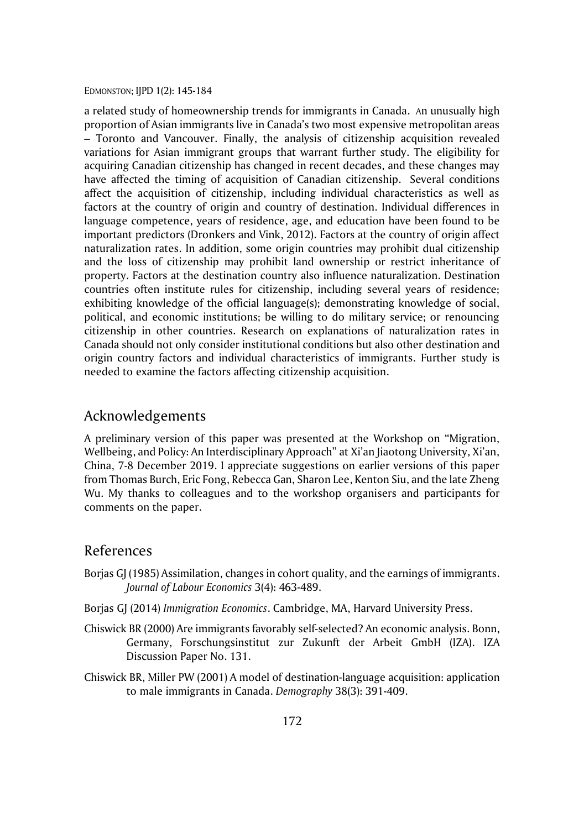a related study of homeownership trends for immigrants in Canada. An unusually high proportion of Asian immigrants live in Canada's two most expensive metropolitan areas – Toronto and Vancouver. Finally, the analysis of citizenship acquisition revealed variations for Asian immigrant groups that warrant further study. The eligibility for acquiring Canadian citizenship has changed in recent decades, and these changes may have affected the timing of acquisition of Canadian citizenship. Several conditions affect the acquisition of citizenship, including individual characteristics as well as factors at the country of origin and country of destination. Individual differences in language competence, years of residence, age, and education have been found to be important predictors (Dronkers and Vink, 2012). Factors at the country of origin affect naturalization rates. In addition, some origin countries may prohibit dual citizenship and the loss of citizenship may prohibit land ownership or restrict inheritance of property. Factors at the destination country also influence naturalization. Destination countries often institute rules for citizenship, including several years of residence; exhibiting knowledge of the official language(s); demonstrating knowledge of social, political, and economic institutions; be willing to do military service; or renouncing citizenship in other countries. Research on explanations of naturalization rates in Canada should not only consider institutional conditions but also other destination and origin country factors and individual characteristics of immigrants. Further study is needed to examine the factors affecting citizenship acquisition.

## Acknowledgements

A preliminary version of this paper was presented at the Workshop on "Migration, Wellbeing, and Policy: An Interdisciplinary Approach" at Xi'an Jiaotong University, Xi'an, China, 7-8 December 2019. I appreciate suggestions on earlier versions of this paper from Thomas Burch, Eric Fong, Rebecca Gan, Sharon Lee, Kenton Siu, and the late Zheng Wu. My thanks to colleagues and to the workshop organisers and participants for comments on the paper.

## References

- Borjas GJ (1985) Assimilation, changes in cohort quality, and the earnings of immigrants. *Journal of Labour Economics* 3(4): 463-489.
- Borjas GJ (2014) *Immigration Economics*. Cambridge, MA, Harvard University Press.
- Chiswick BR (2000) Are immigrants favorably self-selected? An economic analysis. Bonn, Germany, Forschungsinstitut zur Zukunft der Arbeit GmbH (IZA). IZA Discussion Paper No. 131.
- Chiswick BR, Miller PW (2001) A model of destination-language acquisition: application to male immigrants in Canada. *Demography* 38(3): 391-409.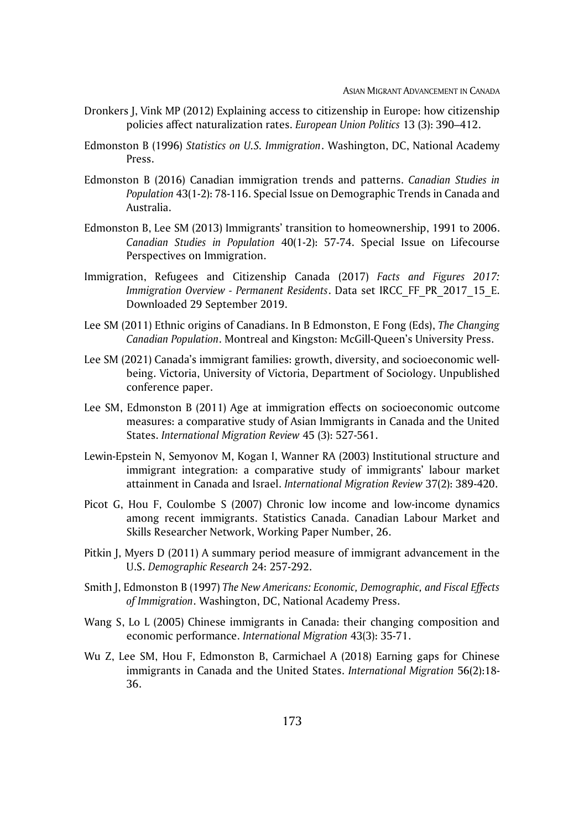- Dronkers J, Vink MP (2012) Explaining access to citizenship in Europe: how citizenship policies affect naturalization rates. *European Union Politics* 13 (3): 390–412.
- Edmonston B (1996) *Statistics on U.S. Immigration*. Washington, DC, National Academy Press.
- Edmonston B (2016) Canadian immigration trends and patterns. *Canadian Studies in Population* 43(1-2): 78-116. Special Issue on Demographic Trends in Canada and Australia.
- Edmonston B, Lee SM (2013) Immigrants' transition to homeownership, 1991 to 2006. *Canadian Studies in Population* 40(1-2): 57-74. Special Issue on Lifecourse Perspectives on Immigration.
- Immigration, Refugees and Citizenship Canada (2017) *Facts and Figures 2017: Immigration Overview - Permanent Residents*. Data set IRCC\_FF\_PR\_2017\_15\_E. Downloaded 29 September 2019.
- Lee SM (2011) Ethnic origins of Canadians. In B Edmonston, E Fong (Eds), *The Changing Canadian Population*. Montreal and Kingston: McGill-Queen's University Press.
- Lee SM (2021) Canada's immigrant families: growth, diversity, and socioeconomic wellbeing. Victoria, University of Victoria, Department of Sociology. Unpublished conference paper.
- Lee SM, Edmonston B (2011) Age at immigration effects on socioeconomic outcome measures: a comparative study of Asian Immigrants in Canada and the United States. *International Migration Review* 45 (3): 527-561.
- Lewin-Epstein N, Semyonov M, Kogan I, Wanner RA (2003) Institutional structure and immigrant integration: a comparative study of immigrants' labour market attainment in Canada and Israel. *International Migration Review* 37(2): 389-420.
- Picot G, Hou F, Coulombe S (2007) Chronic low income and low-income dynamics among recent immigrants. Statistics Canada. Canadian Labour Market and Skills Researcher Network, Working Paper Number, 26.
- Pitkin J, Myers D (2011) A summary period measure of immigrant advancement in the U.S. *Demographic Research* 24: 257-292.
- Smith J, Edmonston B (1997) *The New Americans: Economic, Demographic, and Fiscal Effects of Immigration*. Washington, DC, National Academy Press.
- Wang S, Lo L (2005) Chinese immigrants in Canada: their changing composition and economic performance. *International Migration* 43(3): 35-71.
- Wu Z, Lee SM, Hou F, Edmonston B, Carmichael A (2018) Earning gaps for Chinese immigrants in Canada and the United States. *International Migration* 56(2):18- 36.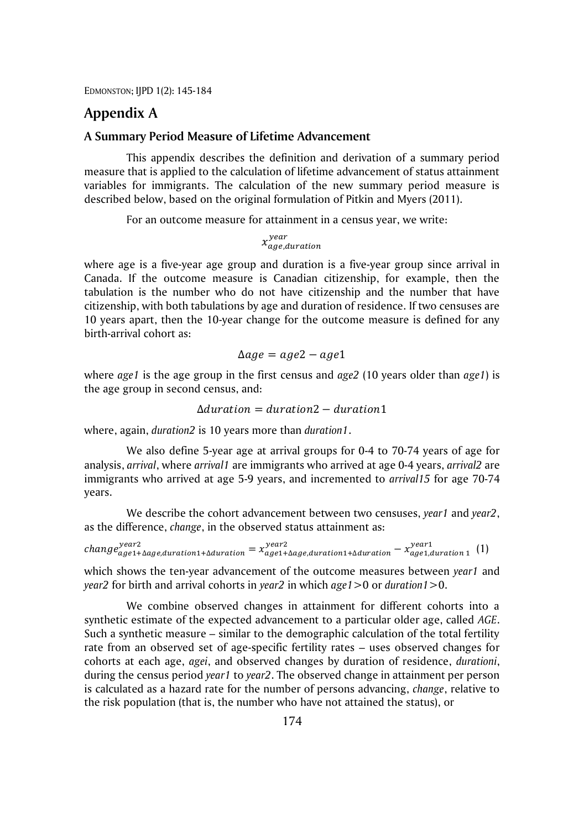## **Appendix A**

## **A Summary Period Measure of Lifetime Advancement**

This appendix describes the definition and derivation of a summary period measure that is applied to the calculation of lifetime advancement of status attainment variables for immigrants. The calculation of the new summary period measure is described below, based on the original formulation of Pitkin and Myers (2011).

For an outcome measure for attainment in a census year, we write:

 $x_{age, duration}^{year}$ 

where age is a five-year age group and duration is a five-year group since arrival in Canada. If the outcome measure is Canadian citizenship, for example, then the tabulation is the number who do not have citizenship and the number that have citizenship, with both tabulations by age and duration of residence. If two censuses are 10 years apart, then the 10-year change for the outcome measure is defined for any birth-arrival cohort as:

$$
\Delta age = age2 - age1
$$

where *age1* is the age group in the first census and *age2* (10 years older than *age1*) is the age group in second census, and:

$$
\Delta duration = duration2 - duration1
$$

where, again, *duration2* is 10 years more than *duration1*.

We also define 5-year age at arrival groups for 0-4 to 70-74 years of age for analysis, *arrival*, where *arrival1* are immigrants who arrived at age 0-4 years, *arrival2* are immigrants who arrived at age 5-9 years, and incremented to *arrival15* for age 70-74 years.

We describe the cohort advancement between two censuses, *year1* and *year2*, as the difference, *change*, in the observed status attainment as:

 $change_{age1+\Delta age, duration1+\Delta duration}^{year2} = \chi_{age1+\Delta age, duration1+\Delta duration1+\Delta duration}^{year1} - \chi_{age1, duration1}^{year1}$  (1)

which shows the ten-year advancement of the outcome measures between *year1* and *year2* for birth and arrival cohorts in *year2* in which *age1*>0 or *duration1*>0.

We combine observed changes in attainment for different cohorts into a synthetic estimate of the expected advancement to a particular older age, called *AGE*. Such a synthetic measure – similar to the demographic calculation of the total fertility rate from an observed set of age-specific fertility rates – uses observed changes for cohorts at each age, *agei*, and observed changes by duration of residence, *durationi*, during the census period *year1* to *year2*. The observed change in attainment per person is calculated as a hazard rate for the number of persons advancing, *change*, relative to the risk population (that is, the number who have not attained the status), or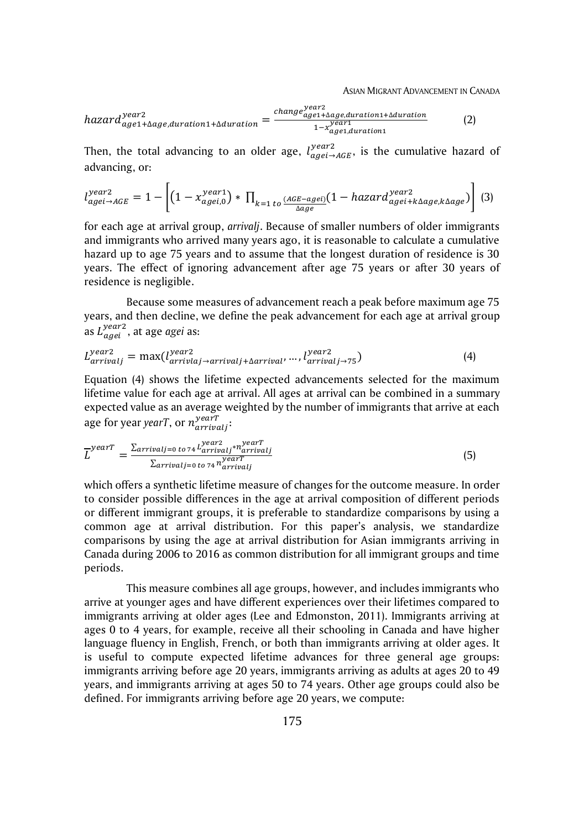ASIAN MIGRANT ADVANCEMENT IN CANADA

$$
hazard_{age1+\Delta age, duration1+\Delta duration}^{year2} = \frac{change_{age1+\Delta age, duration1+\Delta duration1+\Delta duration}}{1-x_{age1, duration1}^{year1}} \tag{2}
$$

Then, the total advancing to an older age,  $l_{agei\rightarrow AGE}^{year2}$ , is the cumulative hazard of advancing, or:

$$
l_{agei \rightarrow AGE}^{year2} = 1 - \left[ (1 - x_{agei,0}^{year1}) * \prod_{k=1 \ to} \frac{(AGE - agei)}{\Delta age} (1 - hazard_{agei + k\Delta age, k\Delta age}) \right] (3)
$$

for each age at arrival group, *arrivalj*. Because of smaller numbers of older immigrants and immigrants who arrived many years ago, it is reasonable to calculate a cumulative hazard up to age 75 years and to assume that the longest duration of residence is 30 years. The effect of ignoring advancement after age 75 years or after 30 years of residence is negligible.

Because some measures of advancement reach a peak before maximum age 75 years, and then decline, we define the peak advancement for each age at arrival group as  $L_{agei}^{year2}$ , at age *agei* as:

$$
L_{arrival}^{year2} = \max(l_{arrival \rightarrow arrivalj + \Delta arrival'}^{year2} \dots, l_{arrival \rightarrow 75}^{year2})
$$
\n(4)

Equation (4) shows the lifetime expected advancements selected for the maximum lifetime value for each age at arrival. All ages at arrival can be combined in a summary expected value as an average weighted by the number of immigrants that arrive at each age for year *yearT*, or  $n_{arrivalj}^{yearT}$ :

$$
\overline{L}^{yearT} = \frac{\sum_{arrivalj=0 \ to \ 74} L^{year2}_{arrivalj} \cdot n^{yearT}_{arrivalj}}{\sum_{arrivalj=0 \ to \ 74} n^{yearT}_{arrivalj}} \tag{5}
$$

which offers a synthetic lifetime measure of changes for the outcome measure. In order to consider possible differences in the age at arrival composition of different periods or different immigrant groups, it is preferable to standardize comparisons by using a common age at arrival distribution. For this paper's analysis, we standardize comparisons by using the age at arrival distribution for Asian immigrants arriving in Canada during 2006 to 2016 as common distribution for all immigrant groups and time periods.

This measure combines all age groups, however, and includes immigrants who arrive at younger ages and have different experiences over their lifetimes compared to immigrants arriving at older ages (Lee and Edmonston, 2011). Immigrants arriving at ages 0 to 4 years, for example, receive all their schooling in Canada and have higher language fluency in English, French, or both than immigrants arriving at older ages. It is useful to compute expected lifetime advances for three general age groups: immigrants arriving before age 20 years, immigrants arriving as adults at ages 20 to 49 years, and immigrants arriving at ages 50 to 74 years. Other age groups could also be defined. For immigrants arriving before age 20 years, we compute: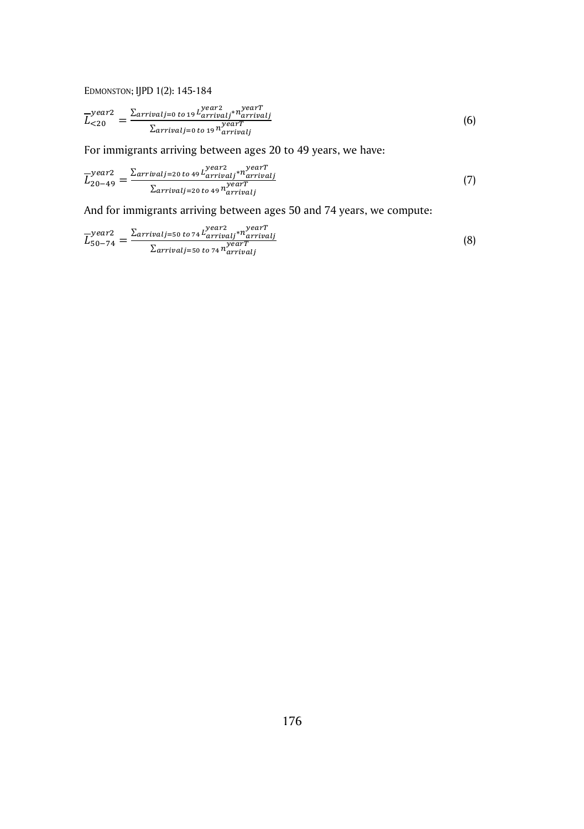$$
\overline{L}_{<20}^{year2} = \frac{\sum_{arrival j=0 \ to 19} L_{arrival j}^{year2} \cdot \overline{L}_{arrival j}^{year4} \cdot \overline{L}_{arrival j}^{year7}}{\sum_{arrival j=0 \ to 19} n_{arrival j}^{year7}} \tag{6}
$$

For immigrants arriving between ages 20 to 49 years, we have:

$$
\overline{L}_{20-49}^{year2} = \frac{\sum_{arrivalj=20 \text{ to } 49} L_{arrivalj}^{year2} \cdot n_{arrivalj}^{\text{year}}}{\sum_{arrivalj=20 \text{ to } 49} n_{arrivalj}^{\text{year}}} \tag{7}
$$

And for immigrants arriving between ages 50 and 74 years, we compute:

$$
\overline{L}_{50-74}^{year2} = \frac{\sum_{arrival j=50 \text{ to } 74} L_{arrival j}^{year2} n_{arrival j}^{yearT}}{\sum_{arrival j=50 \text{ to } 74} n_{arrival j}^{yearT}}
$$
(8)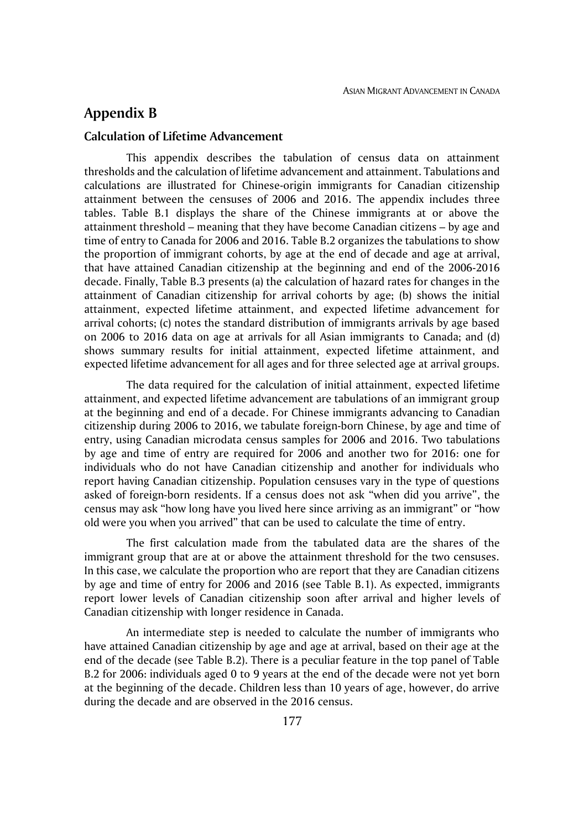## **Appendix B**

## **Calculation of Lifetime Advancement**

This appendix describes the tabulation of census data on attainment thresholds and the calculation of lifetime advancement and attainment. Tabulations and calculations are illustrated for Chinese-origin immigrants for Canadian citizenship attainment between the censuses of 2006 and 2016. The appendix includes three tables. Table B.1 displays the share of the Chinese immigrants at or above the attainment threshold – meaning that they have become Canadian citizens – by age and time of entry to Canada for 2006 and 2016. Table B.2 organizes the tabulations to show the proportion of immigrant cohorts, by age at the end of decade and age at arrival, that have attained Canadian citizenship at the beginning and end of the 2006-2016 decade. Finally, Table B.3 presents (a) the calculation of hazard rates for changes in the attainment of Canadian citizenship for arrival cohorts by age; (b) shows the initial attainment, expected lifetime attainment, and expected lifetime advancement for arrival cohorts; (c) notes the standard distribution of immigrants arrivals by age based on 2006 to 2016 data on age at arrivals for all Asian immigrants to Canada; and (d) shows summary results for initial attainment, expected lifetime attainment, and expected lifetime advancement for all ages and for three selected age at arrival groups.

The data required for the calculation of initial attainment, expected lifetime attainment, and expected lifetime advancement are tabulations of an immigrant group at the beginning and end of a decade. For Chinese immigrants advancing to Canadian citizenship during 2006 to 2016, we tabulate foreign-born Chinese, by age and time of entry, using Canadian microdata census samples for 2006 and 2016. Two tabulations by age and time of entry are required for 2006 and another two for 2016: one for individuals who do not have Canadian citizenship and another for individuals who report having Canadian citizenship. Population censuses vary in the type of questions asked of foreign-born residents. If a census does not ask "when did you arrive", the census may ask "how long have you lived here since arriving as an immigrant" or "how old were you when you arrived" that can be used to calculate the time of entry.

The first calculation made from the tabulated data are the shares of the immigrant group that are at or above the attainment threshold for the two censuses. In this case, we calculate the proportion who are report that they are Canadian citizens by age and time of entry for 2006 and 2016 (see Table B.1). As expected, immigrants report lower levels of Canadian citizenship soon after arrival and higher levels of Canadian citizenship with longer residence in Canada.

An intermediate step is needed to calculate the number of immigrants who have attained Canadian citizenship by age and age at arrival, based on their age at the end of the decade (see Table B.2). There is a peculiar feature in the top panel of Table B.2 for 2006: individuals aged 0 to 9 years at the end of the decade were not yet born at the beginning of the decade. Children less than 10 years of age, however, do arrive during the decade and are observed in the 2016 census.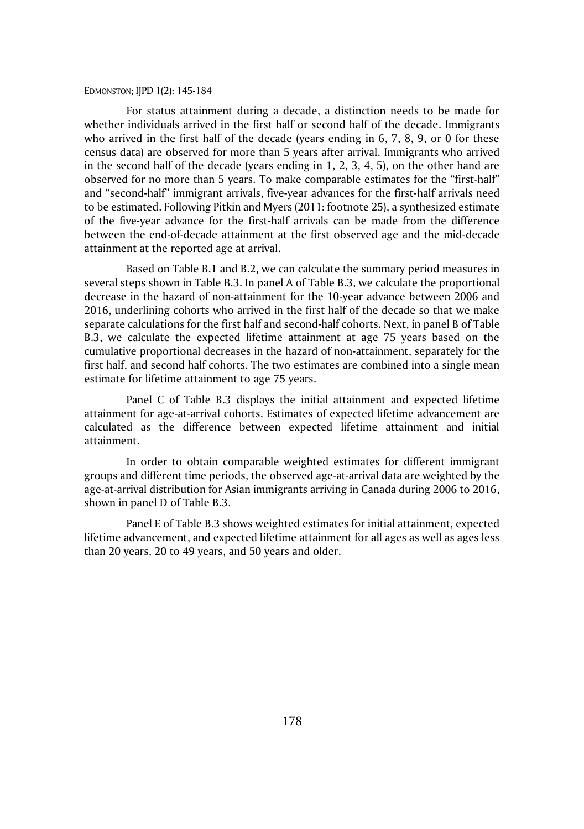For status attainment during a decade, a distinction needs to be made for whether individuals arrived in the first half or second half of the decade. Immigrants who arrived in the first half of the decade (years ending in 6, 7, 8, 9, or 0 for these census data) are observed for more than 5 years after arrival. Immigrants who arrived in the second half of the decade (years ending in 1, 2, 3, 4, 5), on the other hand are observed for no more than 5 years. To make comparable estimates for the "first-half" and "second-half" immigrant arrivals, five-year advances for the first-half arrivals need to be estimated. Following Pitkin and Myers (2011: footnote 25), a synthesized estimate of the five-year advance for the first-half arrivals can be made from the difference between the end-of-decade attainment at the first observed age and the mid-decade attainment at the reported age at arrival.

Based on Table B.1 and B.2, we can calculate the summary period measures in several steps shown in Table B.3. In panel A of Table B.3, we calculate the proportional decrease in the hazard of non-attainment for the 10-year advance between 2006 and 2016, underlining cohorts who arrived in the first half of the decade so that we make separate calculations for the first half and second-half cohorts. Next, in panel B of Table B.3, we calculate the expected lifetime attainment at age 75 years based on the cumulative proportional decreases in the hazard of non-attainment, separately for the first half, and second half cohorts. The two estimates are combined into a single mean estimate for lifetime attainment to age 75 years.

Panel C of Table B.3 displays the initial attainment and expected lifetime attainment for age-at-arrival cohorts. Estimates of expected lifetime advancement are calculated as the difference between expected lifetime attainment and initial attainment.

In order to obtain comparable weighted estimates for different immigrant groups and different time periods, the observed age-at-arrival data are weighted by the age-at-arrival distribution for Asian immigrants arriving in Canada during 2006 to 2016, shown in panel D of Table B.3.

Panel E of Table B.3 shows weighted estimates for initial attainment, expected lifetime advancement, and expected lifetime attainment for all ages as well as ages less than 20 years, 20 to 49 years, and 50 years and older.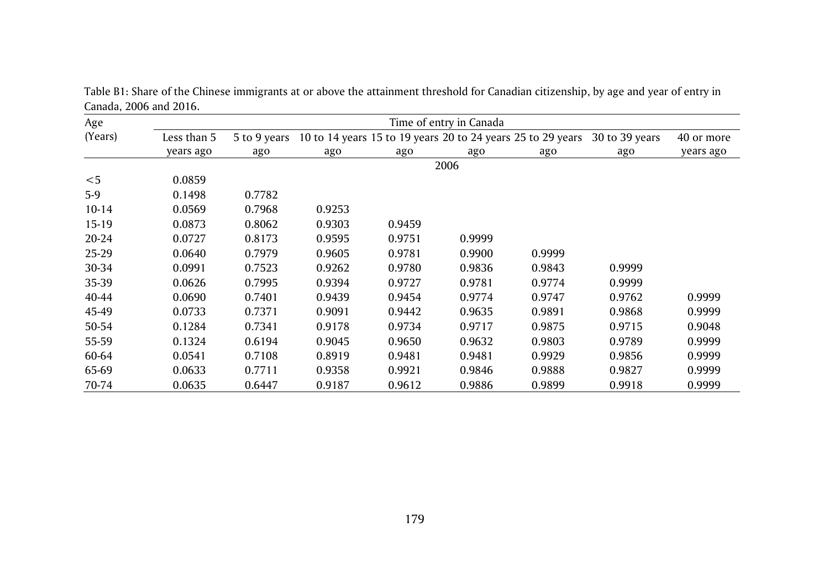| Age       |             |              |        |        | Time of entry in Canada |                                                             |                |            |
|-----------|-------------|--------------|--------|--------|-------------------------|-------------------------------------------------------------|----------------|------------|
| (Years)   | Less than 5 | 5 to 9 years |        |        |                         | 10 to 14 years 15 to 19 years 20 to 24 years 25 to 29 years | 30 to 39 years | 40 or more |
|           | years ago   | ago          | ago    | ago    | ago                     | ago                                                         | ago            | years ago  |
|           |             |              |        |        | 2006                    |                                                             |                |            |
| $<$ 5     | 0.0859      |              |        |        |                         |                                                             |                |            |
| $5-9$     | 0.1498      | 0.7782       |        |        |                         |                                                             |                |            |
| $10 - 14$ | 0.0569      | 0.7968       | 0.9253 |        |                         |                                                             |                |            |
| 15-19     | 0.0873      | 0.8062       | 0.9303 | 0.9459 |                         |                                                             |                |            |
| 20-24     | 0.0727      | 0.8173       | 0.9595 | 0.9751 | 0.9999                  |                                                             |                |            |
| 25-29     | 0.0640      | 0.7979       | 0.9605 | 0.9781 | 0.9900                  | 0.9999                                                      |                |            |
| 30-34     | 0.0991      | 0.7523       | 0.9262 | 0.9780 | 0.9836                  | 0.9843                                                      | 0.9999         |            |
| 35-39     | 0.0626      | 0.7995       | 0.9394 | 0.9727 | 0.9781                  | 0.9774                                                      | 0.9999         |            |
| 40-44     | 0.0690      | 0.7401       | 0.9439 | 0.9454 | 0.9774                  | 0.9747                                                      | 0.9762         | 0.9999     |
| 45-49     | 0.0733      | 0.7371       | 0.9091 | 0.9442 | 0.9635                  | 0.9891                                                      | 0.9868         | 0.9999     |
| 50-54     | 0.1284      | 0.7341       | 0.9178 | 0.9734 | 0.9717                  | 0.9875                                                      | 0.9715         | 0.9048     |
| 55-59     | 0.1324      | 0.6194       | 0.9045 | 0.9650 | 0.9632                  | 0.9803                                                      | 0.9789         | 0.9999     |
| 60-64     | 0.0541      | 0.7108       | 0.8919 | 0.9481 | 0.9481                  | 0.9929                                                      | 0.9856         | 0.9999     |
| 65-69     | 0.0633      | 0.7711       | 0.9358 | 0.9921 | 0.9846                  | 0.9888                                                      | 0.9827         | 0.9999     |
| 70-74     | 0.0635      | 0.6447       | 0.9187 | 0.9612 | 0.9886                  | 0.9899                                                      | 0.9918         | 0.9999     |

Table B1: Share of the Chinese immigrants at or above the attainment threshold for Canadian citizenship, by age and year of entry in Canada, 2006 and 2016.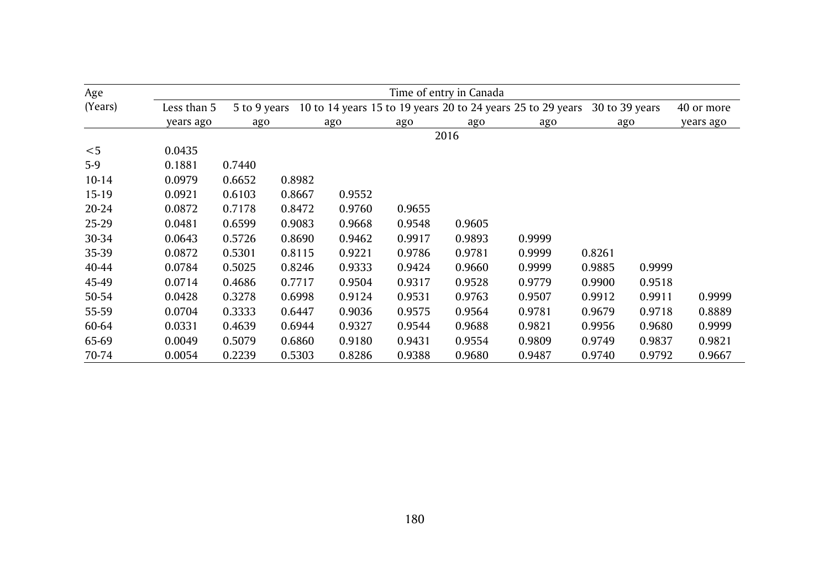| Age       |             | Time of entry in Canada |        |        |        |        |                                                             |        |                |            |  |  |  |  |
|-----------|-------------|-------------------------|--------|--------|--------|--------|-------------------------------------------------------------|--------|----------------|------------|--|--|--|--|
| (Years)   | Less than 5 | 5 to 9 years            |        |        |        |        | 10 to 14 years 15 to 19 years 20 to 24 years 25 to 29 years |        | 30 to 39 years | 40 or more |  |  |  |  |
|           | years ago   | ago                     |        | ago    | ago    | ago    | ago                                                         |        | ago            | years ago  |  |  |  |  |
|           |             |                         |        |        |        | 2016   |                                                             |        |                |            |  |  |  |  |
| $<$ 5     | 0.0435      |                         |        |        |        |        |                                                             |        |                |            |  |  |  |  |
| $5-9$     | 0.1881      | 0.7440                  |        |        |        |        |                                                             |        |                |            |  |  |  |  |
| $10 - 14$ | 0.0979      | 0.6652                  | 0.8982 |        |        |        |                                                             |        |                |            |  |  |  |  |
| $15 - 19$ | 0.0921      | 0.6103                  | 0.8667 | 0.9552 |        |        |                                                             |        |                |            |  |  |  |  |
| 20-24     | 0.0872      | 0.7178                  | 0.8472 | 0.9760 | 0.9655 |        |                                                             |        |                |            |  |  |  |  |
| 25-29     | 0.0481      | 0.6599                  | 0.9083 | 0.9668 | 0.9548 | 0.9605 |                                                             |        |                |            |  |  |  |  |
| 30-34     | 0.0643      | 0.5726                  | 0.8690 | 0.9462 | 0.9917 | 0.9893 | 0.9999                                                      |        |                |            |  |  |  |  |
| 35-39     | 0.0872      | 0.5301                  | 0.8115 | 0.9221 | 0.9786 | 0.9781 | 0.9999                                                      | 0.8261 |                |            |  |  |  |  |
| 40-44     | 0.0784      | 0.5025                  | 0.8246 | 0.9333 | 0.9424 | 0.9660 | 0.9999                                                      | 0.9885 | 0.9999         |            |  |  |  |  |
| 45-49     | 0.0714      | 0.4686                  | 0.7717 | 0.9504 | 0.9317 | 0.9528 | 0.9779                                                      | 0.9900 | 0.9518         |            |  |  |  |  |
| 50-54     | 0.0428      | 0.3278                  | 0.6998 | 0.9124 | 0.9531 | 0.9763 | 0.9507                                                      | 0.9912 | 0.9911         | 0.9999     |  |  |  |  |
| 55-59     | 0.0704      | 0.3333                  | 0.6447 | 0.9036 | 0.9575 | 0.9564 | 0.9781                                                      | 0.9679 | 0.9718         | 0.8889     |  |  |  |  |
| 60-64     | 0.0331      | 0.4639                  | 0.6944 | 0.9327 | 0.9544 | 0.9688 | 0.9821                                                      | 0.9956 | 0.9680         | 0.9999     |  |  |  |  |
| 65-69     | 0.0049      | 0.5079                  | 0.6860 | 0.9180 | 0.9431 | 0.9554 | 0.9809                                                      | 0.9749 | 0.9837         | 0.9821     |  |  |  |  |
| 70-74     | 0.0054      | 0.2239                  | 0.5303 | 0.8286 | 0.9388 | 0.9680 | 0.9487                                                      | 0.9740 | 0.9792         | 0.9667     |  |  |  |  |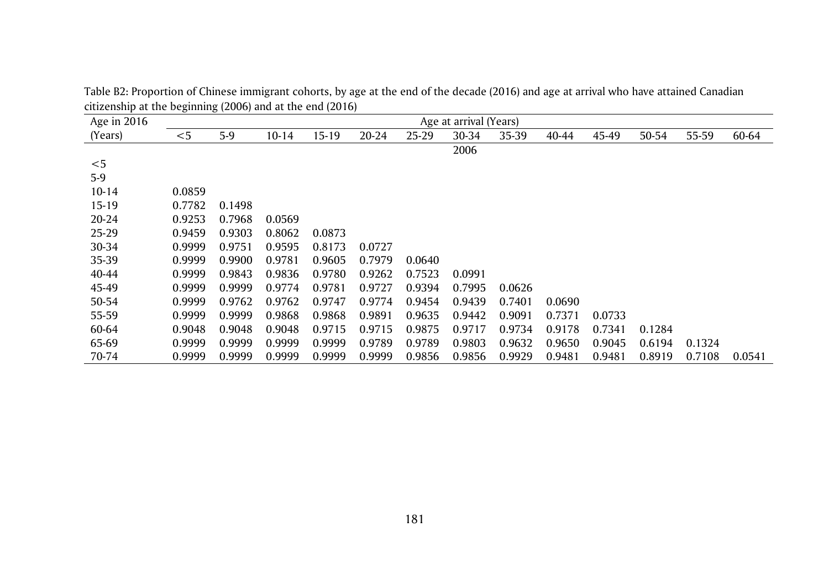| Age in 2016 |        |        |           |        |        |        | Age at arrival (Years) |        |        |        |        |        |        |
|-------------|--------|--------|-----------|--------|--------|--------|------------------------|--------|--------|--------|--------|--------|--------|
| (Years)     | $<$ 5  | $5-9$  | $10 - 14$ | 15-19  | 20-24  | 25-29  | 30-34                  | 35-39  | 40-44  | 45-49  | 50-54  | 55-59  | 60-64  |
|             |        |        |           |        |        |        | 2006                   |        |        |        |        |        |        |
| $<$ 5       |        |        |           |        |        |        |                        |        |        |        |        |        |        |
| $5-9$       |        |        |           |        |        |        |                        |        |        |        |        |        |        |
| $10-14$     | 0.0859 |        |           |        |        |        |                        |        |        |        |        |        |        |
| 15-19       | 0.7782 | 0.1498 |           |        |        |        |                        |        |        |        |        |        |        |
| 20-24       | 0.9253 | 0.7968 | 0.0569    |        |        |        |                        |        |        |        |        |        |        |
| 25-29       | 0.9459 | 0.9303 | 0.8062    | 0.0873 |        |        |                        |        |        |        |        |        |        |
| 30-34       | 0.9999 | 0.9751 | 0.9595    | 0.8173 | 0.0727 |        |                        |        |        |        |        |        |        |
| 35-39       | 0.9999 | 0.9900 | 0.9781    | 0.9605 | 0.7979 | 0.0640 |                        |        |        |        |        |        |        |
| 40-44       | 0.9999 | 0.9843 | 0.9836    | 0.9780 | 0.9262 | 0.7523 | 0.0991                 |        |        |        |        |        |        |
| 45-49       | 0.9999 | 0.9999 | 0.9774    | 0.9781 | 0.9727 | 0.9394 | 0.7995                 | 0.0626 |        |        |        |        |        |
| 50-54       | 0.9999 | 0.9762 | 0.9762    | 0.9747 | 0.9774 | 0.9454 | 0.9439                 | 0.7401 | 0.0690 |        |        |        |        |
| 55-59       | 0.9999 | 0.9999 | 0.9868    | 0.9868 | 0.9891 | 0.9635 | 0.9442                 | 0.9091 | 0.7371 | 0.0733 |        |        |        |
| 60-64       | 0.9048 | 0.9048 | 0.9048    | 0.9715 | 0.9715 | 0.9875 | 0.9717                 | 0.9734 | 0.9178 | 0.7341 | 0.1284 |        |        |
| 65-69       | 0.9999 | 0.9999 | 0.9999    | 0.9999 | 0.9789 | 0.9789 | 0.9803                 | 0.9632 | 0.9650 | 0.9045 | 0.6194 | 0.1324 |        |
| 70-74       | 0.9999 | 0.9999 | 0.9999    | 0.9999 | 0.9999 | 0.9856 | 0.9856                 | 0.9929 | 0.9481 | 0.9481 | 0.8919 | 0.7108 | 0.0541 |

Table B2: Proportion of Chinese immigrant cohorts, by age at the end of the decade (2016) and age at arrival who have attained Canadian citizenship at the beginning (2006) and at the end (2016)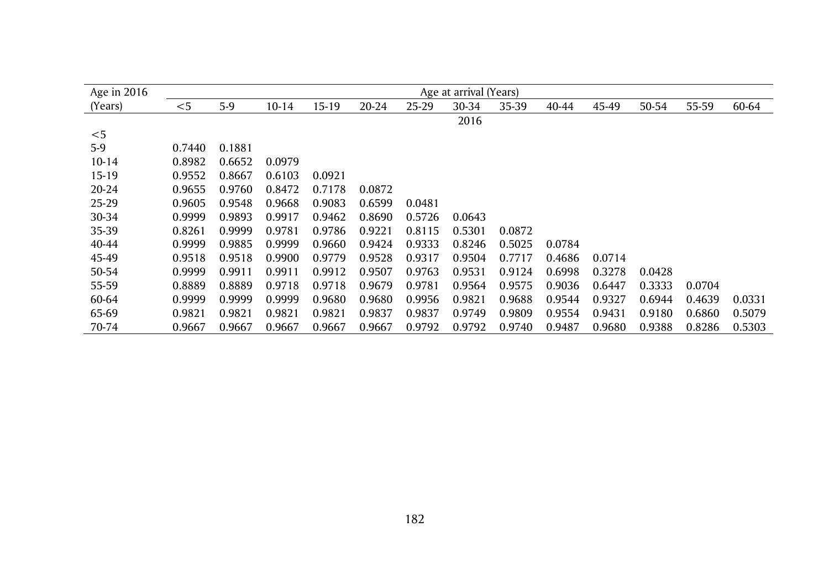| Age in 2016 |        |        |        |        |        |        | Age at arrival (Years) |        |        |        |        |        |        |
|-------------|--------|--------|--------|--------|--------|--------|------------------------|--------|--------|--------|--------|--------|--------|
| (Years)     | $<$ 5  | $5-9$  | 10-14  | 15-19  | 20-24  | 25-29  | 30-34                  | 35-39  | 40-44  | 45-49  | 50-54  | 55-59  | 60-64  |
|             |        |        |        |        |        |        | 2016                   |        |        |        |        |        |        |
| $<$ 5       |        |        |        |        |        |        |                        |        |        |        |        |        |        |
| $5-9$       | 0.7440 | 0.1881 |        |        |        |        |                        |        |        |        |        |        |        |
| $10-14$     | 0.8982 | 0.6652 | 0.0979 |        |        |        |                        |        |        |        |        |        |        |
| $15-19$     | 0.9552 | 0.8667 | 0.6103 | 0.0921 |        |        |                        |        |        |        |        |        |        |
| 20-24       | 0.9655 | 0.9760 | 0.8472 | 0.7178 | 0.0872 |        |                        |        |        |        |        |        |        |
| 25-29       | 0.9605 | 0.9548 | 0.9668 | 0.9083 | 0.6599 | 0.0481 |                        |        |        |        |        |        |        |
| 30-34       | 0.9999 | 0.9893 | 0.9917 | 0.9462 | 0.8690 | 0.5726 | 0.0643                 |        |        |        |        |        |        |
| 35-39       | 0.8261 | 0.9999 | 0.9781 | 0.9786 | 0.9221 | 0.8115 | 0.5301                 | 0.0872 |        |        |        |        |        |
| 40-44       | 0.9999 | 0.9885 | 0.9999 | 0.9660 | 0.9424 | 0.9333 | 0.8246                 | 0.5025 | 0.0784 |        |        |        |        |
| 45-49       | 0.9518 | 0.9518 | 0.9900 | 0.9779 | 0.9528 | 0.9317 | 0.9504                 | 0.7717 | 0.4686 | 0.0714 |        |        |        |
| 50-54       | 0.9999 | 0.9911 | 0.9911 | 0.9912 | 0.9507 | 0.9763 | 0.9531                 | 0.9124 | 0.6998 | 0.3278 | 0.0428 |        |        |
| 55-59       | 0.8889 | 0.8889 | 0.9718 | 0.9718 | 0.9679 | 0.9781 | 0.9564                 | 0.9575 | 0.9036 | 0.6447 | 0.3333 | 0.0704 |        |
| 60-64       | 0.9999 | 0.9999 | 0.9999 | 0.9680 | 0.9680 | 0.9956 | 0.9821                 | 0.9688 | 0.9544 | 0.9327 | 0.6944 | 0.4639 | 0.0331 |
| 65-69       | 0.9821 | 0.9821 | 0.9821 | 0.9821 | 0.9837 | 0.9837 | 0.9749                 | 0.9809 | 0.9554 | 0.9431 | 0.9180 | 0.6860 | 0.5079 |
| 70-74       | 0.9667 | 0.9667 | 0.9667 | 0.9667 | 0.9667 | 0.9792 | 0.9792                 | 0.9740 | 0.9487 | 0.9680 | 0.9388 | 0.8286 | 0.5303 |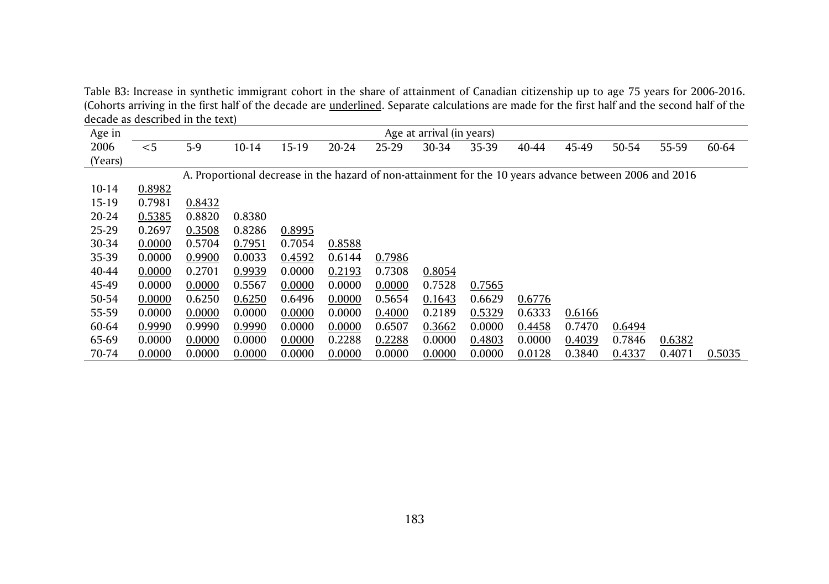Table B3: Increase in synthetic immigrant cohort in the share of attainment of Canadian citizenship up to age 75 years for 2006-2016. (Cohorts arriving in the first half of the decade are <u>underlined</u>. Separate calculations are made for the first half and the second half of the decade as described in the text)

|           | accauc as acsembed in the text |        |         |                                                                                                         |        |        |                           |        |        |        |        |        |        |
|-----------|--------------------------------|--------|---------|---------------------------------------------------------------------------------------------------------|--------|--------|---------------------------|--------|--------|--------|--------|--------|--------|
| Age in    |                                |        |         |                                                                                                         |        |        | Age at arrival (in years) |        |        |        |        |        |        |
| 2006      | $<$ 5                          | 5-9    | $10-14$ | $15-19$                                                                                                 | 20-24  | 25-29  | 30-34                     | 35-39  | 40-44  | 45-49  | 50-54  | 55-59  | 60-64  |
| (Years)   |                                |        |         |                                                                                                         |        |        |                           |        |        |        |        |        |        |
|           |                                |        |         | A. Proportional decrease in the hazard of non-attainment for the 10 years advance between 2006 and 2016 |        |        |                           |        |        |        |        |        |        |
| $10 - 14$ | 0.8982                         |        |         |                                                                                                         |        |        |                           |        |        |        |        |        |        |
| 15-19     | 0.7981                         | 0.8432 |         |                                                                                                         |        |        |                           |        |        |        |        |        |        |
| 20-24     | 0.5385                         | 0.8820 | 0.8380  |                                                                                                         |        |        |                           |        |        |        |        |        |        |
| 25-29     | 0.2697                         | 0.3508 | 0.8286  | 0.8995                                                                                                  |        |        |                           |        |        |        |        |        |        |
| 30-34     | 0.0000                         | 0.5704 | 0.7951  | 0.7054                                                                                                  | 0.8588 |        |                           |        |        |        |        |        |        |
| 35-39     | 0.0000                         | 0.9900 | 0.0033  | 0.4592                                                                                                  | 0.6144 | 0.7986 |                           |        |        |        |        |        |        |
| 40-44     | 0.0000                         | 0.2701 | 0.9939  | 0.0000                                                                                                  | 0.2193 | 0.7308 | 0.8054                    |        |        |        |        |        |        |
| 45-49     | 0.0000                         | 0.0000 | 0.5567  | 0.0000                                                                                                  | 0.0000 | 0.0000 | 0.7528                    | 0.7565 |        |        |        |        |        |
| 50-54     | 0.0000                         | 0.6250 | 0.6250  | 0.6496                                                                                                  | 0.0000 | 0.5654 | 0.1643                    | 0.6629 | 0.6776 |        |        |        |        |
| 55-59     | 0.0000                         | 0.0000 | 0.0000  | 0.0000                                                                                                  | 0.0000 | 0.4000 | 0.2189                    | 0.5329 | 0.6333 | 0.6166 |        |        |        |
| 60-64     | 0.9990                         | 0.9990 | 0.9990  | 0.0000                                                                                                  | 0.0000 | 0.6507 | 0.3662                    | 0.0000 | 0.4458 | 0.7470 | 0.6494 |        |        |
| 65-69     | 0.0000                         | 0.0000 | 0.0000  | 0.0000                                                                                                  | 0.2288 | 0.2288 | 0.0000                    | 0.4803 | 0.0000 | 0.4039 | 0.7846 | 0.6382 |        |
| 70-74     | 0.0000                         | 0.0000 | 0.0000  | 0.0000                                                                                                  | 0.0000 | 0.0000 | 0.0000                    | 0.0000 | 0.0128 | 0.3840 | 0.4337 | 0.4071 | 0.5035 |